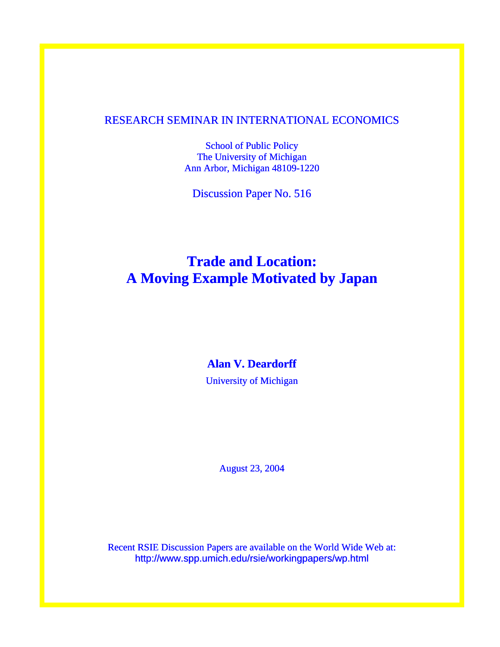### RESEARCH SEMINAR IN INTERNATIONAL ECONOMICS

School of Public Policy The University of Michigan Ann Arbor, Michigan 48109-1220

Discussion Paper No. 516

### **Trade and Location: A Moving Example Motivated by Japan**

### **Alan V. Deardorff**

University of Michigan

August 23, 2004

Recent RSIE Discussion Papers are available on the World Wide Web at: http://www.spp.umich.edu/rsie/workingpapers/wp.html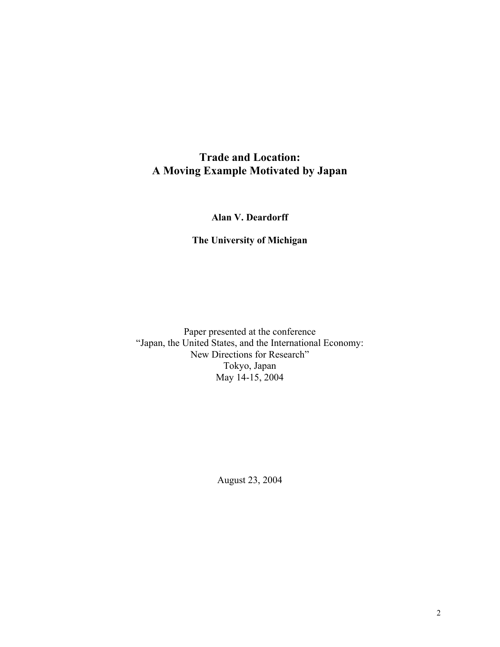### **Trade and Location: A Moving Example Motivated by Japan**

**Alan V. Deardorff** 

### **The University of Michigan**

Paper presented at the conference "Japan, the United States, and the International Economy: New Directions for Research" Tokyo, Japan May 14-15, 2004

August 23, 2004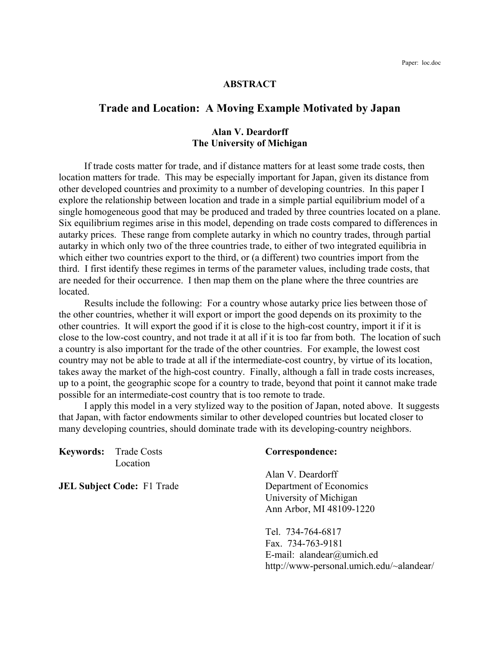#### **ABSTRACT**

### **Trade and Location: A Moving Example Motivated by Japan**

#### **Alan V. Deardorff The University of Michigan**

 If trade costs matter for trade, and if distance matters for at least some trade costs, then location matters for trade. This may be especially important for Japan, given its distance from other developed countries and proximity to a number of developing countries. In this paper I explore the relationship between location and trade in a simple partial equilibrium model of a single homogeneous good that may be produced and traded by three countries located on a plane. Six equilibrium regimes arise in this model, depending on trade costs compared to differences in autarky prices. These range from complete autarky in which no country trades, through partial autarky in which only two of the three countries trade, to either of two integrated equilibria in which either two countries export to the third, or (a different) two countries import from the third. I first identify these regimes in terms of the parameter values, including trade costs, that are needed for their occurrence. I then map them on the plane where the three countries are located.

 Results include the following: For a country whose autarky price lies between those of the other countries, whether it will export or import the good depends on its proximity to the other countries. It will export the good if it is close to the high-cost country, import it if it is close to the low-cost country, and not trade it at all if it is too far from both. The location of such a country is also important for the trade of the other countries. For example, the lowest cost country may not be able to trade at all if the intermediate-cost country, by virtue of its location, takes away the market of the high-cost country. Finally, although a fall in trade costs increases, up to a point, the geographic scope for a country to trade, beyond that point it cannot make trade possible for an intermediate-cost country that is too remote to trade.

 I apply this model in a very stylized way to the position of Japan, noted above. It suggests that Japan, with factor endowments similar to other developed countries but located closer to many developing countries, should dominate trade with its developing-country neighbors.

**Keywords:** Trade Costs **Correspondence:** Location

Alan V. Deardorff **JEL Subject Code:** F1 Trade Department of Economics University of Michigan Ann Arbor, MI 48109-1220

> Tel. 734-764-6817 Fax. 734-763-9181 E-mail: alandear@umich.ed http://www-personal.umich.edu/~alandear/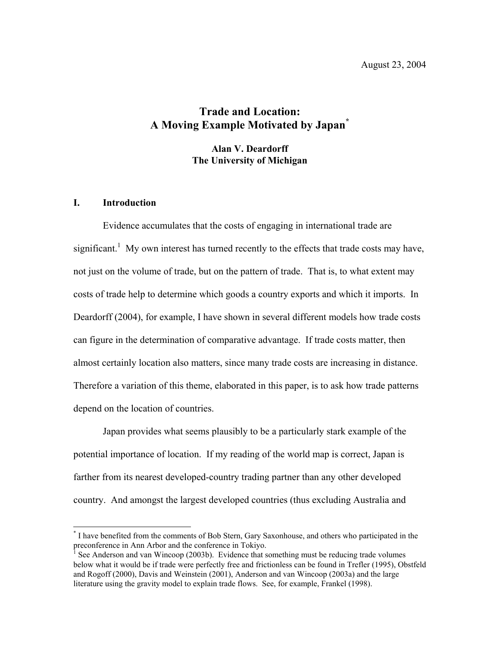### **Trade and Location: A Moving Example Motivated by Japan[\\*](#page-3-0)**

**Alan V. Deardorff The University of Michigan** 

#### **I. Introduction**

 $\overline{a}$ 

Evidence accumulates that the costs of engaging in international trade are significant.<sup>[1](#page-3-1)</sup> My own interest has turned recently to the effects that trade costs may have, not just on the volume of trade, but on the pattern of trade. That is, to what extent may costs of trade help to determine which goods a country exports and which it imports. In Deardorff (2004), for example, I have shown in several different models how trade costs can figure in the determination of comparative advantage. If trade costs matter, then almost certainly location also matters, since many trade costs are increasing in distance. Therefore a variation of this theme, elaborated in this paper, is to ask how trade patterns depend on the location of countries.

Japan provides what seems plausibly to be a particularly stark example of the potential importance of location. If my reading of the world map is correct, Japan is farther from its nearest developed-country trading partner than any other developed country. And amongst the largest developed countries (thus excluding Australia and

<span id="page-3-0"></span><sup>\*</sup> I have benefited from the comments of Bob Stern, Gary Saxonhouse, and others who participated in the preconference in Ann Arbor and the conference in Tokiyo.

<span id="page-3-1"></span><sup>1</sup> See Anderson and van Wincoop (2003b). Evidence that something must be reducing trade volumes below what it would be if trade were perfectly free and frictionless can be found in Trefler (1995), Obstfeld and Rogoff (2000), Davis and Weinstein (2001), Anderson and van Wincoop (2003a) and the large literature using the gravity model to explain trade flows. See, for example, Frankel (1998).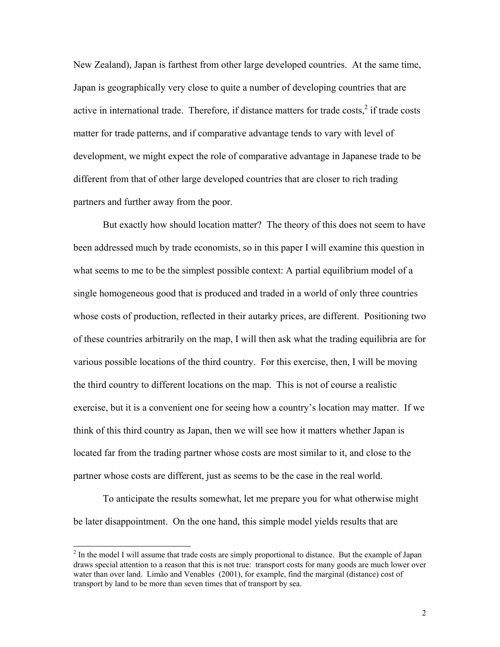New Zealand), Japan is farthest from other large developed countries. At the same time, Japan is geographically very close to quite a number of developing countries that are active in international trade. Therefore, if distance matters for trade costs, $2$  if trade costs matter for trade patterns, and if comparative advantage tends to vary with level of development, we might expect the role of comparative advantage in Japanese trade to be different from that of other large developed countries that are closer to rich trading partners and further away from the poor.

But exactly how should location matter? The theory of this does not seem to have been addressed much by trade economists, so in this paper I will examine this question in what seems to me to be the simplest possible context: A partial equilibrium model of a single homogeneous good that is produced and traded in a world of only three countries whose costs of production, reflected in their autarky prices, are different. Positioning two of these countries arbitrarily on the map, I will then ask what the trading equilibria are for various possible locations of the third country. For this exercise, then, I will be moving the third country to different locations on the map. This is not of course a realistic exercise, but it is a convenient one for seeing how a country's location may matter. If we think of this third country as Japan, then we will see how it matters whether Japan is located far from the trading partner whose costs are most similar to it, and close to the partner whose costs are different, just as seems to be the case in the real world.

To anticipate the results somewhat, let me prepare you for what otherwise might be later disappointment. On the one hand, this simple model yields results that are

<span id="page-4-0"></span><sup>&</sup>lt;sup>2</sup> <sup>2</sup> In the model I will assume that trade costs are simply proportional to distance. But the example of Japan draws special attention to a reason that this is not true: transport costs for many goods are much lower over water than over land. Limão and Venables (2001), for example, find the marginal (distance) cost of transport by land to be more than seven times that of transport by sea.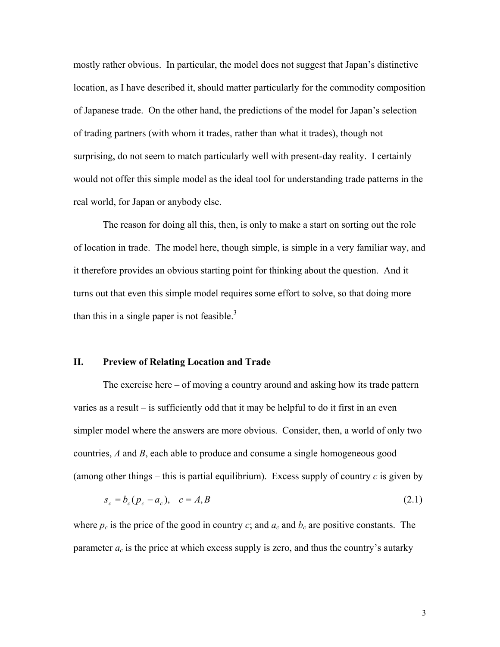mostly rather obvious. In particular, the model does not suggest that Japan's distinctive location, as I have described it, should matter particularly for the commodity composition of Japanese trade. On the other hand, the predictions of the model for Japan's selection of trading partners (with whom it trades, rather than what it trades), though not surprising, do not seem to match particularly well with present-day reality. I certainly would not offer this simple model as the ideal tool for understanding trade patterns in the real world, for Japan or anybody else.

The reason for doing all this, then, is only to make a start on sorting out the role of location in trade. The model here, though simple, is simple in a very familiar way, and it therefore provides an obvious starting point for thinking about the question. And it turns out that even this simple model requires some effort to solve, so that doing more than this in a single paper is not feasible. $3$ 

#### **II. Preview of Relating Location and Trade**

The exercise here – of moving a country around and asking how its trade pattern varies as a result – is sufficiently odd that it may be helpful to do it first in an even simpler model where the answers are more obvious. Consider, then, a world of only two countries, *A* and *B*, each able to produce and consume a single homogeneous good (among other things – this is partial equilibrium). Excess supply of country  $c$  is given by

$$
s_c = b_c (p_c - a_c), \quad c = A, B
$$
\n(2.1)

<span id="page-5-0"></span>where  $p_c$  is the price of the good in country  $c$ ; and  $a_c$  and  $b_c$  are positive constants. The parameter  $a_c$  is the price at which excess supply is zero, and thus the country's autarky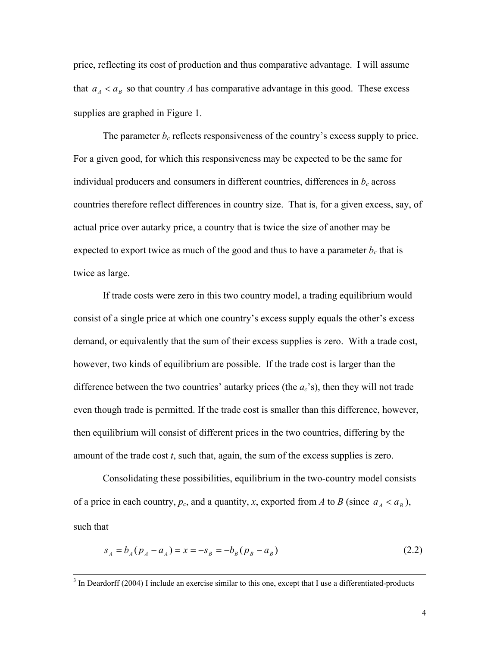price, reflecting its cost of production and thus comparative advantage. I will assume that  $a_A < a_B$  so that country *A* has comparative advantage in this good. These excess supplies are graphed in Figure 1.

The parameter  $b_c$  reflects responsiveness of the country's excess supply to price. For a given good, for which this responsiveness may be expected to be the same for individual producers and consumers in different countries, differences in  $b<sub>c</sub>$  across countries therefore reflect differences in country size. That is, for a given excess, say, of actual price over autarky price, a country that is twice the size of another may be expected to export twice as much of the good and thus to have a parameter  $b_c$  that is twice as large.

If trade costs were zero in this two country model, a trading equilibrium would consist of a single price at which one country's excess supply equals the other's excess demand, or equivalently that the sum of their excess supplies is zero. With a trade cost, however, two kinds of equilibrium are possible. If the trade cost is larger than the difference between the two countries' autarky prices (the *ac*'s), then they will not trade even though trade is permitted. If the trade cost is smaller than this difference, however, then equilibrium will consist of different prices in the two countries, differing by the amount of the trade cost *t*, such that, again, the sum of the excess supplies is zero.

Consolidating these possibilities, equilibrium in the two-country model consists of a price in each country,  $p_c$ , and a quantity, *x*, exported from *A* to *B* (since  $a_A < a_B$ ), such that

$$
s_A = b_A (p_A - a_A) = x = -s_B = -b_B (p_B - a_B)
$$
\n(2.2)

<sup>&</sup>lt;sup>2</sup><br>3 <sup>3</sup> In Deardorff (2004) I include an exercise similar to this one, except that I use a differentiated-products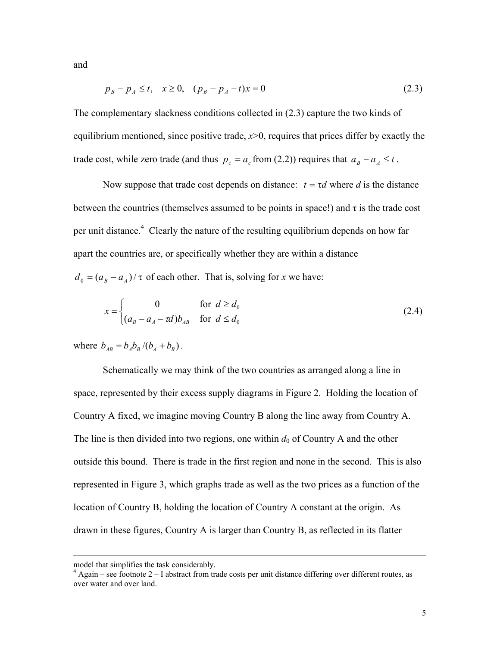and

$$
p_B - p_A \le t, \quad x \ge 0, \quad (p_B - p_A - t)x = 0 \tag{2.3}
$$

The complementary slackness conditions collected in (2.3) capture the two kinds of equilibrium mentioned, since positive trade, *-0, requires that prices differ by exactly the* trade cost, while zero trade (and thus  $p_c = a_c$  from (2.2)) requires that  $a_B - a_A \le t$ .

Now suppose that trade cost depends on distance:  $t = \tau d$  where *d* is the distance between the countries (themselves assumed to be points in space!) and  $\tau$  is the trade cost per unit distance.<sup>[4](#page-7-0)</sup> Clearly the nature of the resulting equilibrium depends on how far apart the countries are, or specifically whether they are within a distance  $d_0 = (a_B - a_A)/\tau$  of each other. That is, solving for *x* we have:

$$
x = \begin{cases} 0 & \text{for } d \ge d_0 \\ (a_{\scriptscriptstyle B} - a_{\scriptscriptstyle A} - \tau d)b_{\scriptscriptstyle AB} & \text{for } d \le d_0 \end{cases} \tag{2.4}
$$

where  $b_{AB} = b_A b_B / (b_A + b_B)$ .

Schematically we may think of the two countries as arranged along a line in space, represented by their excess supply diagrams in Figure 2. Holding the location of Country A fixed, we imagine moving Country B along the line away from Country A. The line is then divided into two regions, one within  $d_0$  of Country A and the other outside this bound. There is trade in the first region and none in the second. This is also represented in Figure 3, which graphs trade as well as the two prices as a function of the location of Country B, holding the location of Country A constant at the origin. As drawn in these figures, Country A is larger than Country B, as reflected in its flatter

 $\overline{a}$ 

<span id="page-7-0"></span>

model that simplifies the task considerably.<br> $4$  Again – see footnote  $2 - I$  abstract from trade costs per unit distance differing over different routes, as over water and over land.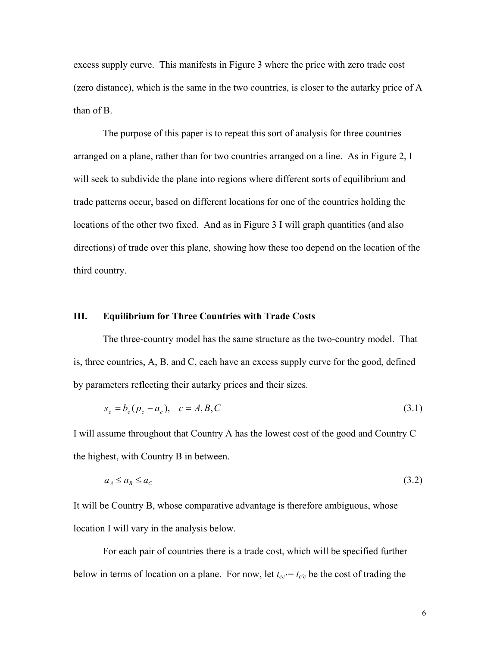excess supply curve. This manifests in Figure 3 where the price with zero trade cost (zero distance), which is the same in the two countries, is closer to the autarky price of A than of B.

The purpose of this paper is to repeat this sort of analysis for three countries arranged on a plane, rather than for two countries arranged on a line. As in Figure 2, I will seek to subdivide the plane into regions where different sorts of equilibrium and trade patterns occur, based on different locations for one of the countries holding the locations of the other two fixed. And as in Figure 3 I will graph quantities (and also directions) of trade over this plane, showing how these too depend on the location of the third country.

#### **III. Equilibrium for Three Countries with Trade Costs**

The three-country model has the same structure as the two-country model. That is, three countries, A, B, and C, each have an excess supply curve for the good, defined by parameters reflecting their autarky prices and their sizes.

$$
s_c = b_c (p_c - a_c), \quad c = A, B, C
$$
\n(3.1)

I will assume throughout that Country A has the lowest cost of the good and Country C the highest, with Country B in between.

$$
a_A \le a_B \le a_C \tag{3.2}
$$

It will be Country B, whose comparative advantage is therefore ambiguous, whose location I will vary in the analysis below.

For each pair of countries there is a trade cost, which will be specified further below in terms of location on a plane. For now, let  $t_{cc} = t_{c'c}$  be the cost of trading the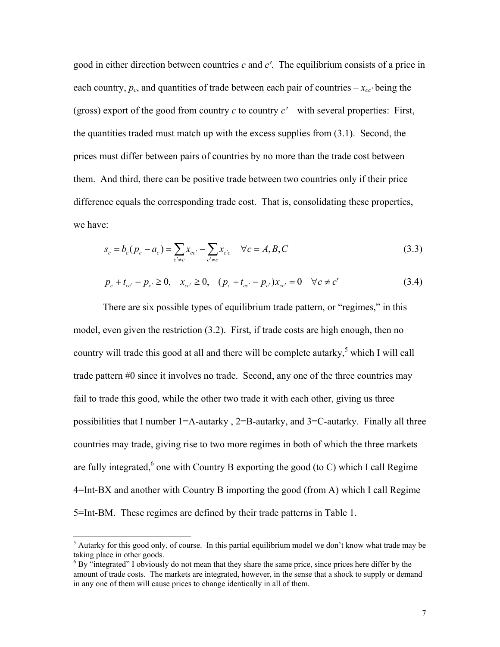good in either direction between countries *c* and *c'*. The equilibrium consists of a price in each country,  $p_c$ , and quantities of trade between each pair of countries  $-x_{cc'}$  being the (gross) export of the good from country *c* to country *c'* – with several properties: First, the quantities traded must match up with the excess supplies from (3.1). Second, the prices must differ between pairs of countries by no more than the trade cost between them. And third, there can be positive trade between two countries only if their price difference equals the corresponding trade cost. That is, consolidating these properties, we have:

$$
s_c = b_c(p_c - a_c) = \sum_{c' \neq c} x_{cc'} - \sum_{c' \neq c} x_{c'c} \quad \forall c = A, B, C
$$
\n(3.3)

$$
p_c + t_{cc'} - p_{c'} \ge 0, \quad x_{cc'} \ge 0, \quad (p_c + t_{cc'} - p_{c'})x_{cc'} = 0 \quad \forall c \ne c'
$$
 (3.4)

There are six possible types of equilibrium trade pattern, or "regimes," in this model, even given the restriction (3.2). First, if trade costs are high enough, then no country will trade this good at all and there will be complete autarky,<sup>5</sup> which I will call trade pattern #0 since it involves no trade. Second, any one of the three countries may fail to trade this good, while the other two trade it with each other, giving us three possibilities that I number  $1=A$ -autarky,  $2=B$ -autarky, and  $3=C$ -autarky. Finally all three countries may trade, giving rise to two more regimes in both of which the three markets are fully integrated,  $6$  one with Country B exporting the good (to C) which I call Regime 4=Int-BX and another with Country B importing the good (from A) which I call Regime 5=Int-BM. These regimes are defined by their trade patterns in Table 1.

<span id="page-9-0"></span> <sup>5</sup> <sup>5</sup> Autarky for this good only, of course. In this partial equilibrium model we don't know what trade may be taking place in other goods.

<span id="page-9-1"></span><sup>&</sup>lt;sup>6</sup> By "integrated" I obviously do not mean that they share the same price, since prices here differ by the amount of trade costs. The markets are integrated, however, in the sense that a shock to supply or demand in any one of them will cause prices to change identically in all of them.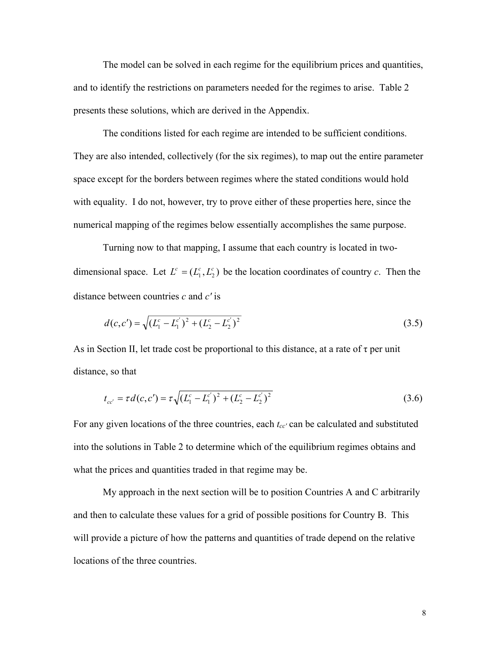The model can be solved in each regime for the equilibrium prices and quantities, and to identify the restrictions on parameters needed for the regimes to arise. Table 2 presents these solutions, which are derived in the Appendix.

The conditions listed for each regime are intended to be sufficient conditions. They are also intended, collectively (for the six regimes), to map out the entire parameter space except for the borders between regimes where the stated conditions would hold with equality. I do not, however, try to prove either of these properties here, since the numerical mapping of the regimes below essentially accomplishes the same purpose.

Turning now to that mapping, I assume that each country is located in twodimensional space. Let  $L^c = (L_1^c, L_2^c)$  be the location coordinates of country *c*. Then the distance between countries *c* and *c'* is

$$
d(c, c') = \sqrt{(L_1^c - L_1^{c'})^2 + (L_2^c - L_2^{c'})^2}
$$
\n(3.5)

As in Section II, let trade cost be proportional to this distance, at a rate of  $\tau$  per unit distance, so that

$$
t_{cc'} = \tau d(c, c') = \tau \sqrt{(L_1^c - L_1^{c'})^2 + (L_2^c - L_2^{c'})^2}
$$
\n(3.6)

For any given locations of the three countries, each  $t_{cc'}$  can be calculated and substituted into the solutions in Table 2 to determine which of the equilibrium regimes obtains and what the prices and quantities traded in that regime may be.

My approach in the next section will be to position Countries A and C arbitrarily and then to calculate these values for a grid of possible positions for Country B. This will provide a picture of how the patterns and quantities of trade depend on the relative locations of the three countries.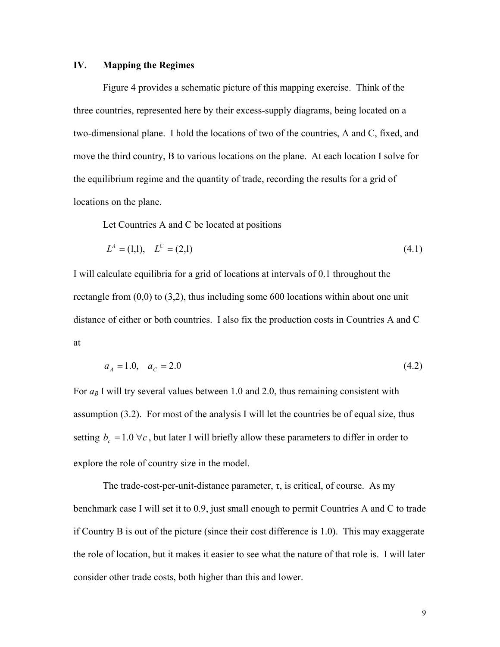#### **IV. Mapping the Regimes**

Figure 4 provides a schematic picture of this mapping exercise. Think of the three countries, represented here by their excess-supply diagrams, being located on a two-dimensional plane. I hold the locations of two of the countries, A and C, fixed, and move the third country, B to various locations on the plane. At each location I solve for the equilibrium regime and the quantity of trade, recording the results for a grid of locations on the plane.

Let Countries A and C be located at positions

$$
L^A = (1,1), \quad L^C = (2,1) \tag{4.1}
$$

I will calculate equilibria for a grid of locations at intervals of 0.1 throughout the rectangle from  $(0,0)$  to  $(3,2)$ , thus including some 600 locations within about one unit distance of either or both countries. I also fix the production costs in Countries A and C at

$$
a_A = 1.0, \quad a_C = 2.0 \tag{4.2}
$$

For  $a_B$  I will try several values between 1.0 and 2.0, thus remaining consistent with assumption (3.2). For most of the analysis I will let the countries be of equal size, thus setting  $b_c = 1.0 \,\forall c$ , but later I will briefly allow these parameters to differ in order to explore the role of country size in the model.

The trade-cost-per-unit-distance parameter,  $\tau$ , is critical, of course. As my benchmark case I will set it to 0.9, just small enough to permit Countries A and C to trade if Country B is out of the picture (since their cost difference is 1.0). This may exaggerate the role of location, but it makes it easier to see what the nature of that role is. I will later consider other trade costs, both higher than this and lower.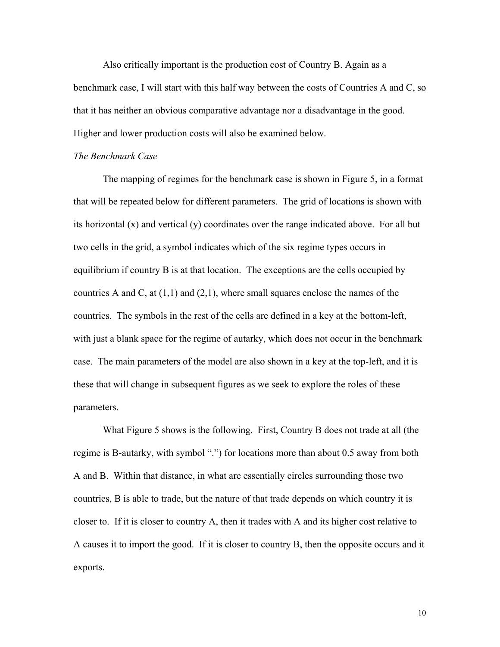Also critically important is the production cost of Country B. Again as a benchmark case, I will start with this half way between the costs of Countries A and C, so that it has neither an obvious comparative advantage nor a disadvantage in the good. Higher and lower production costs will also be examined below.

#### *The Benchmark Case*

The mapping of regimes for the benchmark case is shown in Figure 5, in a format that will be repeated below for different parameters. The grid of locations is shown with its horizontal (x) and vertical (y) coordinates over the range indicated above. For all but two cells in the grid, a symbol indicates which of the six regime types occurs in equilibrium if country B is at that location. The exceptions are the cells occupied by countries A and C, at  $(1,1)$  and  $(2,1)$ , where small squares enclose the names of the countries. The symbols in the rest of the cells are defined in a key at the bottom-left, with just a blank space for the regime of autarky, which does not occur in the benchmark case. The main parameters of the model are also shown in a key at the top-left, and it is these that will change in subsequent figures as we seek to explore the roles of these parameters.

What Figure 5 shows is the following. First, Country B does not trade at all (the regime is B-autarky, with symbol ".") for locations more than about 0.5 away from both A and B. Within that distance, in what are essentially circles surrounding those two countries, B is able to trade, but the nature of that trade depends on which country it is closer to. If it is closer to country A, then it trades with A and its higher cost relative to A causes it to import the good. If it is closer to country B, then the opposite occurs and it exports.

10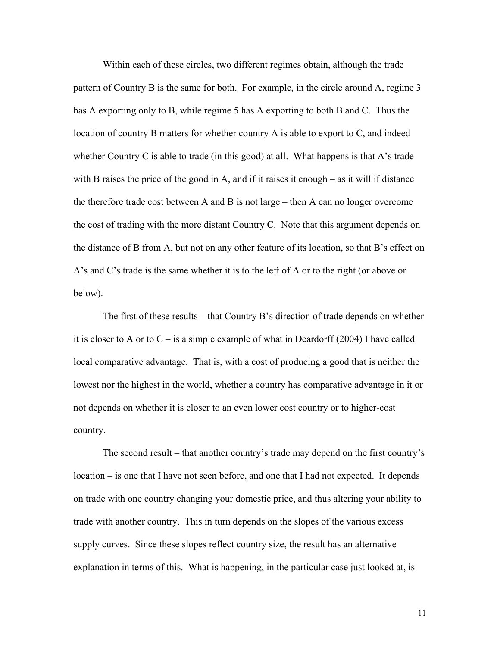Within each of these circles, two different regimes obtain, although the trade pattern of Country B is the same for both. For example, in the circle around A, regime 3 has A exporting only to B, while regime 5 has A exporting to both B and C. Thus the location of country B matters for whether country A is able to export to C, and indeed whether Country C is able to trade (in this good) at all. What happens is that A's trade with B raises the price of the good in A, and if it raises it enough – as it will if distance the therefore trade cost between A and B is not large – then A can no longer overcome the cost of trading with the more distant Country C. Note that this argument depends on the distance of B from A, but not on any other feature of its location, so that B's effect on A's and C's trade is the same whether it is to the left of A or to the right (or above or below).

The first of these results – that Country B's direction of trade depends on whether it is closer to A or to  $C - i$ s a simple example of what in Deardorff (2004) I have called local comparative advantage. That is, with a cost of producing a good that is neither the lowest nor the highest in the world, whether a country has comparative advantage in it or not depends on whether it is closer to an even lower cost country or to higher-cost country.

The second result – that another country's trade may depend on the first country's location – is one that I have not seen before, and one that I had not expected. It depends on trade with one country changing your domestic price, and thus altering your ability to trade with another country. This in turn depends on the slopes of the various excess supply curves. Since these slopes reflect country size, the result has an alternative explanation in terms of this. What is happening, in the particular case just looked at, is

11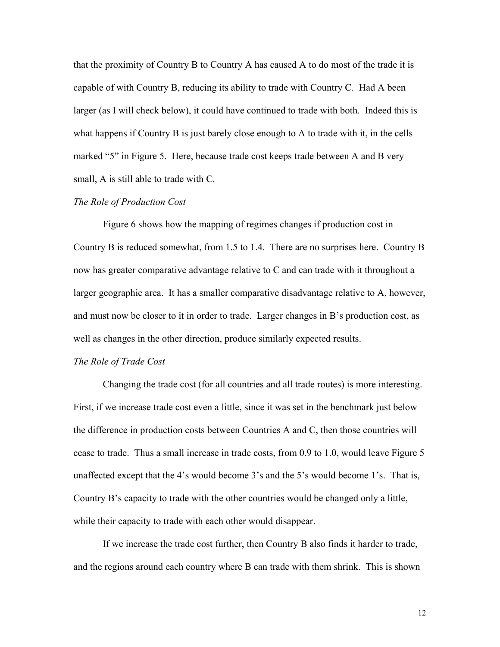that the proximity of Country B to Country A has caused A to do most of the trade it is capable of with Country B, reducing its ability to trade with Country C. Had A been larger (as I will check below), it could have continued to trade with both. Indeed this is what happens if Country B is just barely close enough to A to trade with it, in the cells marked "5" in Figure 5. Here, because trade cost keeps trade between A and B very small, A is still able to trade with C.

#### *The Role of Production Cost*

Figure 6 shows how the mapping of regimes changes if production cost in Country B is reduced somewhat, from 1.5 to 1.4. There are no surprises here. Country B now has greater comparative advantage relative to C and can trade with it throughout a larger geographic area. It has a smaller comparative disadvantage relative to A, however, and must now be closer to it in order to trade. Larger changes in B's production cost, as well as changes in the other direction, produce similarly expected results.

#### *The Role of Trade Cost*

Changing the trade cost (for all countries and all trade routes) is more interesting. First, if we increase trade cost even a little, since it was set in the benchmark just below the difference in production costs between Countries A and C, then those countries will cease to trade. Thus a small increase in trade costs, from 0.9 to 1.0, would leave Figure 5 unaffected except that the 4's would become 3's and the 5's would become 1's. That is, Country B's capacity to trade with the other countries would be changed only a little, while their capacity to trade with each other would disappear.

If we increase the trade cost further, then Country B also finds it harder to trade, and the regions around each country where B can trade with them shrink. This is shown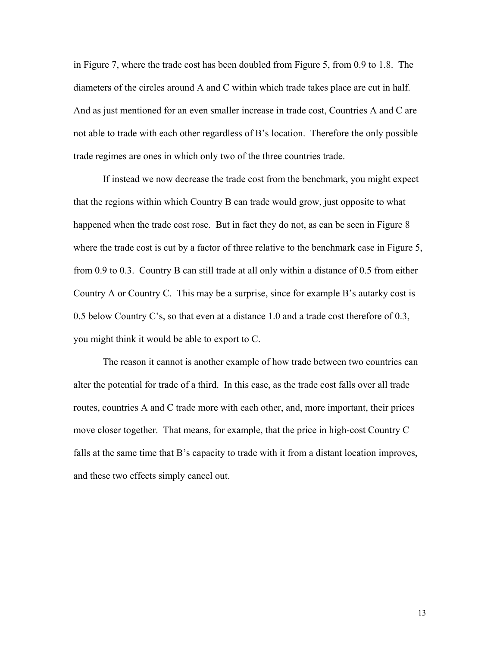in Figure 7, where the trade cost has been doubled from Figure 5, from 0.9 to 1.8. The diameters of the circles around A and C within which trade takes place are cut in half. And as just mentioned for an even smaller increase in trade cost, Countries A and C are not able to trade with each other regardless of B's location. Therefore the only possible trade regimes are ones in which only two of the three countries trade.

If instead we now decrease the trade cost from the benchmark, you might expect that the regions within which Country B can trade would grow, just opposite to what happened when the trade cost rose. But in fact they do not, as can be seen in Figure 8 where the trade cost is cut by a factor of three relative to the benchmark case in Figure 5, from 0.9 to 0.3. Country B can still trade at all only within a distance of 0.5 from either Country A or Country C. This may be a surprise, since for example B's autarky cost is 0.5 below Country C's, so that even at a distance 1.0 and a trade cost therefore of 0.3, you might think it would be able to export to C.

The reason it cannot is another example of how trade between two countries can alter the potential for trade of a third. In this case, as the trade cost falls over all trade routes, countries A and C trade more with each other, and, more important, their prices move closer together. That means, for example, that the price in high-cost Country C falls at the same time that B's capacity to trade with it from a distant location improves, and these two effects simply cancel out.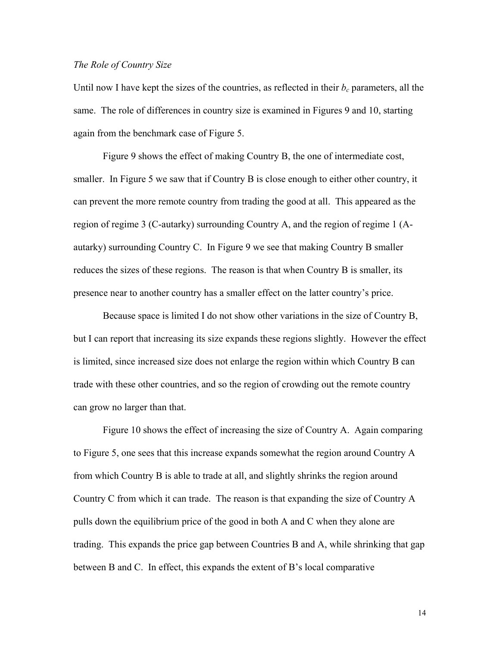#### *The Role of Country Size*

Until now I have kept the sizes of the countries, as reflected in their  $b_c$  parameters, all the same. The role of differences in country size is examined in Figures 9 and 10, starting again from the benchmark case of Figure 5.

Figure 9 shows the effect of making Country B, the one of intermediate cost, smaller. In Figure 5 we saw that if Country B is close enough to either other country, it can prevent the more remote country from trading the good at all. This appeared as the region of regime 3 (C-autarky) surrounding Country A, and the region of regime 1 (Aautarky) surrounding Country C. In Figure 9 we see that making Country B smaller reduces the sizes of these regions. The reason is that when Country B is smaller, its presence near to another country has a smaller effect on the latter country's price.

Because space is limited I do not show other variations in the size of Country B, but I can report that increasing its size expands these regions slightly. However the effect is limited, since increased size does not enlarge the region within which Country B can trade with these other countries, and so the region of crowding out the remote country can grow no larger than that.

Figure 10 shows the effect of increasing the size of Country A. Again comparing to Figure 5, one sees that this increase expands somewhat the region around Country A from which Country B is able to trade at all, and slightly shrinks the region around Country C from which it can trade. The reason is that expanding the size of Country A pulls down the equilibrium price of the good in both A and C when they alone are trading. This expands the price gap between Countries B and A, while shrinking that gap between B and C. In effect, this expands the extent of B's local comparative

14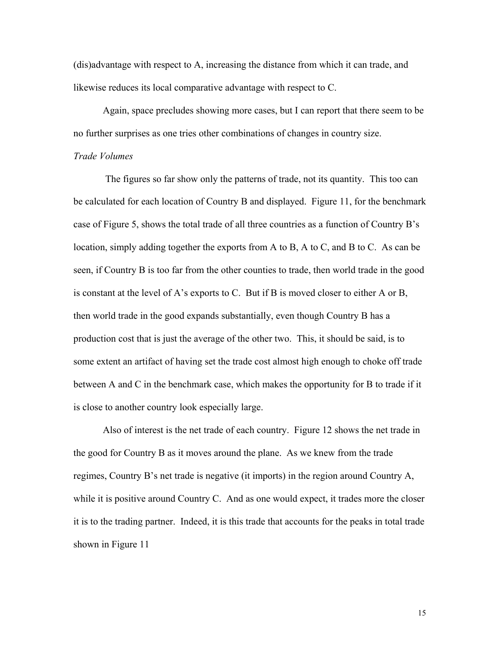(dis)advantage with respect to A, increasing the distance from which it can trade, and likewise reduces its local comparative advantage with respect to C.

Again, space precludes showing more cases, but I can report that there seem to be no further surprises as one tries other combinations of changes in country size.

#### *Trade Volumes*

 The figures so far show only the patterns of trade, not its quantity. This too can be calculated for each location of Country B and displayed. Figure 11, for the benchmark case of Figure 5, shows the total trade of all three countries as a function of Country B's location, simply adding together the exports from A to B, A to C, and B to C. As can be seen, if Country B is too far from the other counties to trade, then world trade in the good is constant at the level of A's exports to C. But if B is moved closer to either A or B, then world trade in the good expands substantially, even though Country B has a production cost that is just the average of the other two. This, it should be said, is to some extent an artifact of having set the trade cost almost high enough to choke off trade between A and C in the benchmark case, which makes the opportunity for B to trade if it is close to another country look especially large.

Also of interest is the net trade of each country. Figure 12 shows the net trade in the good for Country B as it moves around the plane. As we knew from the trade regimes, Country B's net trade is negative (it imports) in the region around Country A, while it is positive around Country C. And as one would expect, it trades more the closer it is to the trading partner. Indeed, it is this trade that accounts for the peaks in total trade shown in Figure 11

15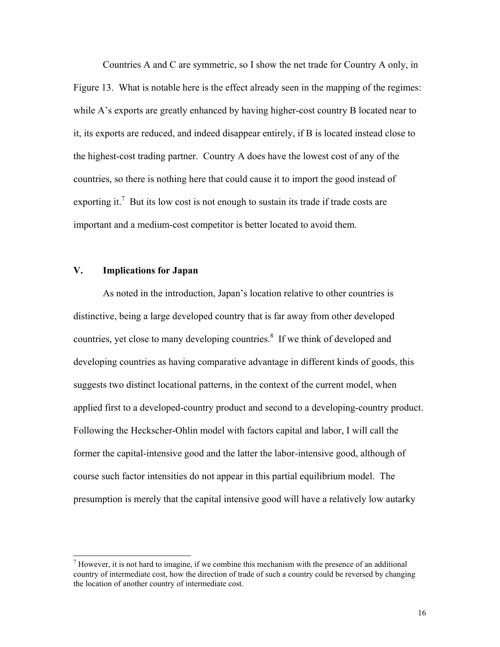Countries A and C are symmetric, so I show the net trade for Country A only, in Figure 13. What is notable here is the effect already seen in the mapping of the regimes: while A's exports are greatly enhanced by having higher-cost country B located near to it, its exports are reduced, and indeed disappear entirely, if B is located instead close to the highest-cost trading partner. Country A does have the lowest cost of any of the countries, so there is nothing here that could cause it to import the good instead of exporting it.<sup>[7](#page-18-0)</sup> But its low cost is not enough to sustain its trade if trade costs are important and a medium-cost competitor is better located to avoid them.

#### **V. Implications for Japan**

As noted in the introduction, Japan's location relative to other countries is distinctive, being a large developed country that is far away from other developed countries, yet close to many developing countries.<sup>8</sup> If we think of developed and developing countries as having comparative advantage in different kinds of goods, this suggests two distinct locational patterns, in the context of the current model, when applied first to a developed-country product and second to a developing-country product. Following the Heckscher-Ohlin model with factors capital and labor, I will call the former the capital-intensive good and the latter the labor-intensive good, although of course such factor intensities do not appear in this partial equilibrium model. The presumption is merely that the capital intensive good will have a relatively low autarky

<span id="page-18-0"></span><sup>-&</sup>lt;br>7  $\alpha$ <sup>7</sup> However, it is not hard to imagine, if we combine this mechanism with the presence of an additional country of intermediate cost, how the direction of trade of such a country could be reversed by changing the location of another country of intermediate cost.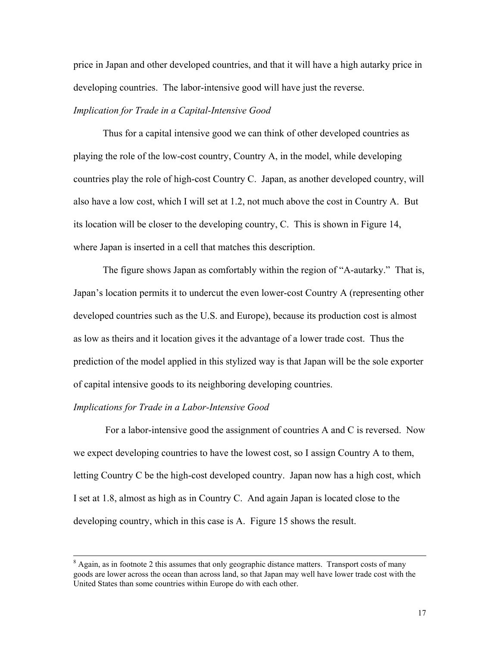price in Japan and other developed countries, and that it will have a high autarky price in developing countries. The labor-intensive good will have just the reverse.

#### *Implication for Trade in a Capital-Intensive Good*

Thus for a capital intensive good we can think of other developed countries as playing the role of the low-cost country, Country A, in the model, while developing countries play the role of high-cost Country C. Japan, as another developed country, will also have a low cost, which I will set at 1.2, not much above the cost in Country A. But its location will be closer to the developing country, C. This is shown in Figure 14, where Japan is inserted in a cell that matches this description.

The figure shows Japan as comfortably within the region of "A-autarky." That is, Japan's location permits it to undercut the even lower-cost Country A (representing other developed countries such as the U.S. and Europe), because its production cost is almost as low as theirs and it location gives it the advantage of a lower trade cost. Thus the prediction of the model applied in this stylized way is that Japan will be the sole exporter of capital intensive goods to its neighboring developing countries.

#### *Implications for Trade in a Labor-Intensive Good*

 For a labor-intensive good the assignment of countries A and C is reversed. Now we expect developing countries to have the lowest cost, so I assign Country A to them, letting Country C be the high-cost developed country. Japan now has a high cost, which I set at 1.8, almost as high as in Country C. And again Japan is located close to the developing country, which in this case is A. Figure 15 shows the result.

 <sup>8</sup>  $\beta$  Again, as in footnote 2 this assumes that only geographic distance matters. Transport costs of many goods are lower across the ocean than across land, so that Japan may well have lower trade cost with the United States than some countries within Europe do with each other.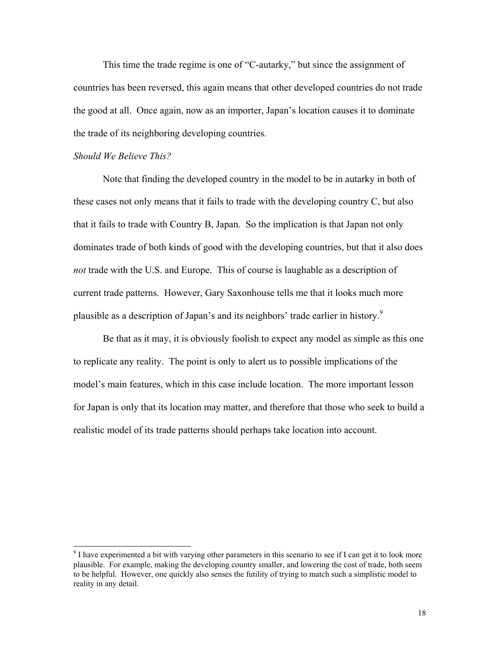This time the trade regime is one of "C-autarky," but since the assignment of countries has been reversed, this again means that other developed countries do not trade the good at all. Once again, now as an importer, Japan's location causes it to dominate the trade of its neighboring developing countries.

#### *Should We Believe This?*

Note that finding the developed country in the model to be in autarky in both of these cases not only means that it fails to trade with the developing country C, but also that it fails to trade with Country B, Japan. So the implication is that Japan not only dominates trade of both kinds of good with the developing countries, but that it also does *not* trade with the U.S. and Europe. This of course is laughable as a description of current trade patterns. However, Gary Saxonhouse tells me that it looks much more plausible as a description of Japan's and its neighbors' trade earlier in history[.9](#page-20-0)

Be that as it may, it is obviously foolish to expect any model as simple as this one to replicate any reality. The point is only to alert us to possible implications of the model's main features, which in this case include location. The more important lesson for Japan is only that its location may matter, and therefore that those who seek to build a realistic model of its trade patterns should perhaps take location into account.

<span id="page-20-0"></span> <sup>9</sup>  $\degree$  I have experimented a bit with varying other parameters in this scenario to see if I can get it to look more plausible. For example, making the developing country smaller, and lowering the cost of trade, both seem to be helpful. However, one quickly also senses the futility of trying to match such a simplistic model to reality in any detail.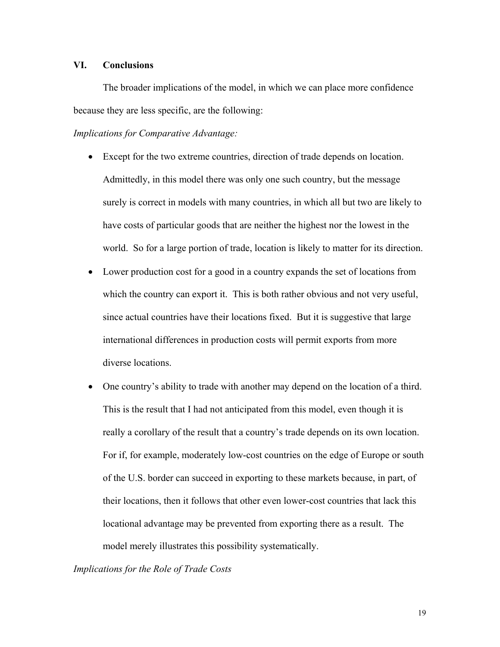#### **VI. Conclusions**

The broader implications of the model, in which we can place more confidence because they are less specific, are the following:

*Implications for Comparative Advantage:* 

- Except for the two extreme countries, direction of trade depends on location. Admittedly, in this model there was only one such country, but the message surely is correct in models with many countries, in which all but two are likely to have costs of particular goods that are neither the highest nor the lowest in the world. So for a large portion of trade, location is likely to matter for its direction.
- Lower production cost for a good in a country expands the set of locations from which the country can export it. This is both rather obvious and not very useful, since actual countries have their locations fixed. But it is suggestive that large international differences in production costs will permit exports from more diverse locations.
- One country's ability to trade with another may depend on the location of a third. This is the result that I had not anticipated from this model, even though it is really a corollary of the result that a country's trade depends on its own location. For if, for example, moderately low-cost countries on the edge of Europe or south of the U.S. border can succeed in exporting to these markets because, in part, of their locations, then it follows that other even lower-cost countries that lack this locational advantage may be prevented from exporting there as a result. The model merely illustrates this possibility systematically.

#### *Implications for the Role of Trade Costs*

19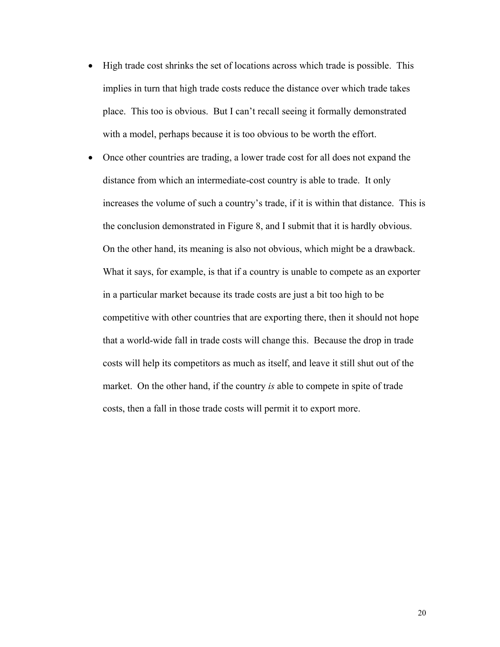- High trade cost shrinks the set of locations across which trade is possible. This implies in turn that high trade costs reduce the distance over which trade takes place. This too is obvious. But I can't recall seeing it formally demonstrated with a model, perhaps because it is too obvious to be worth the effort.
- Once other countries are trading, a lower trade cost for all does not expand the distance from which an intermediate-cost country is able to trade. It only increases the volume of such a country's trade, if it is within that distance. This is the conclusion demonstrated in Figure 8, and I submit that it is hardly obvious. On the other hand, its meaning is also not obvious, which might be a drawback. What it says, for example, is that if a country is unable to compete as an exporter in a particular market because its trade costs are just a bit too high to be competitive with other countries that are exporting there, then it should not hope that a world-wide fall in trade costs will change this. Because the drop in trade costs will help its competitors as much as itself, and leave it still shut out of the market. On the other hand, if the country *is* able to compete in spite of trade costs, then a fall in those trade costs will permit it to export more.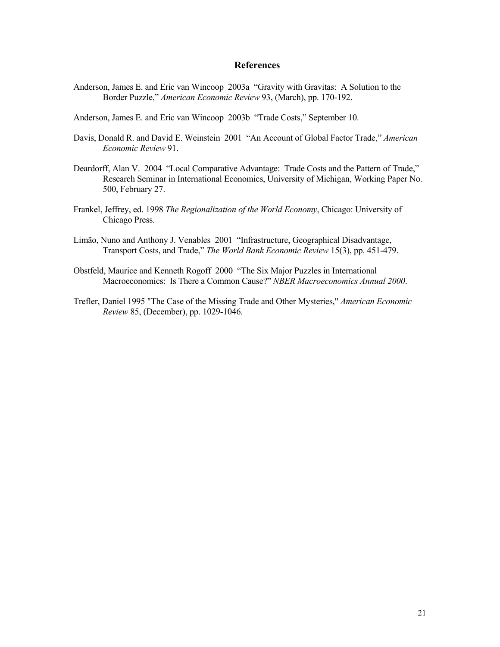#### **References**

- Anderson, James E. and Eric van Wincoop 2003a "Gravity with Gravitas: A Solution to the Border Puzzle," *American Economic Review* 93, (March), pp. 170-192.
- Anderson, James E. and Eric van Wincoop 2003b "Trade Costs," September 10.
- Davis, Donald R. and David E. Weinstein 2001 "An Account of Global Factor Trade," *American Economic Review* 91.
- Deardorff, Alan V. 2004 "Local Comparative Advantage: Trade Costs and the Pattern of Trade," Research Seminar in International Economics, University of Michigan, Working Paper No. 500, February 27.
- Frankel, Jeffrey, ed. 1998 *The Regionalization of the World Economy*, Chicago: University of Chicago Press.
- Limão, Nuno and Anthony J. Venables 2001 "Infrastructure, Geographical Disadvantage, Transport Costs, and Trade," *The World Bank Economic Review* 15(3), pp. 451-479.
- Obstfeld, Maurice and Kenneth Rogoff 2000 "The Six Major Puzzles in International Macroeconomics: Is There a Common Cause?" *NBER Macroeconomics Annual 2000*.
- Trefler, Daniel 1995 "The Case of the Missing Trade and Other Mysteries," *American Economic Review* 85, (December), pp. 1029-1046.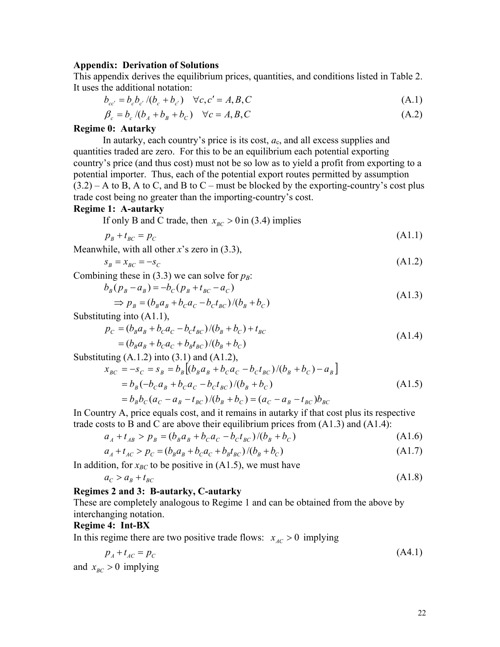#### **Appendix: Derivation of Solutions**

This appendix derives the equilibrium prices, quantities, and conditions listed in Table 2. It uses the additional notation:

$$
b_{cc'} = b_c b_{c'} / (b_c + b_{c'}) \quad \forall c, c' = A, B, C
$$
 (A.1)

$$
\beta_c = b_c / (b_A + b_B + b_C) \quad \forall c = A, B, C \tag{A.2}
$$

#### **Regime 0: Autarky**

In autarky, each country's price is its cost,  $a_c$ , and all excess supplies and quantities traded are zero. For this to be an equilibrium each potential exporting country's price (and thus cost) must not be so low as to yield a profit from exporting to a potential importer. Thus, each of the potential export routes permitted by assumption  $(3.2)$  – A to B, A to C, and B to C – must be blocked by the exporting-country's cost plus trade cost being no greater than the importing-country's cost.

#### **Regime 1: A-autarky**

If only B and C trade, then  $x_{BC} > 0$  in (3.4) implies

$$
p_B + t_{BC} = p_C \tag{A1.1}
$$

Meanwhile, with all other *x*'s zero in (3.3),

$$
s_B = x_{BC} = -s_C \tag{A1.2}
$$

Combining these in  $(3.3)$  we can solve for  $p_B$ :

$$
b_B(p_B - a_B) = -b_C(p_B + t_{BC} - a_C)
$$
  
\n
$$
\Rightarrow p_B = (b_B a_B + b_C a_C - b_C t_{BC})/(b_B + b_C)
$$
\n(A1.3)

Substituting into (A1.1),

$$
p_C = (b_B a_B + b_C a_C - b_C t_{BC})/(b_B + b_C) + t_{BC}
$$
  
=  $(b_B a_B + b_C a_C + b_B t_{BC})/(b_B + b_C)$  (A1.4)

Substituting  $(A.1.2)$  into  $(3.1)$  and  $(A1.2)$ ,

$$
x_{BC} = -s_C = s_B = b_B [(b_B a_B + b_C a_C - b_C t_{BC})/(b_B + b_C) - a_B]
$$
  
=  $b_B (-b_C a_B + b_C a_C - b_C t_{BC})/(b_B + b_C)$   
=  $b_B b_C (a_C - a_B - t_{BC})/(b_B + b_C) = (a_C - a_B - t_{BC})b_{BC}$  (A1.5)

In Country A, price equals cost, and it remains in autarky if that cost plus its respective trade costs to B and C are above their equilibrium prices from  $(A1.3)$  and  $(A1.4)$ :

$$
a_A + t_{AB} > p_B = (b_B a_B + b_C a_C - b_C t_{BC})/(b_B + b_C)
$$
 (A1.6)

$$
a_A + t_{AC} > p_C = (b_B a_B + b_C a_C + b_B t_{BC})/(b_B + b_C)
$$
\n(A1.7)

In addition, for  $x_{BC}$  to be positive in (A1.5), we must have

$$
a_C > a_B + t_{BC} \tag{A1.8}
$$

#### **Regimes 2 and 3: B-autarky, C-autarky**

These are completely analogous to Regime 1 and can be obtained from the above by interchanging notation.

#### **Regime 4: Int-BX**

In this regime there are two positive trade flows:  $x_{AC} > 0$  implying

$$
p_A + t_{AC} = p_C \tag{A4.1}
$$

and  $x_{BC} > 0$  implying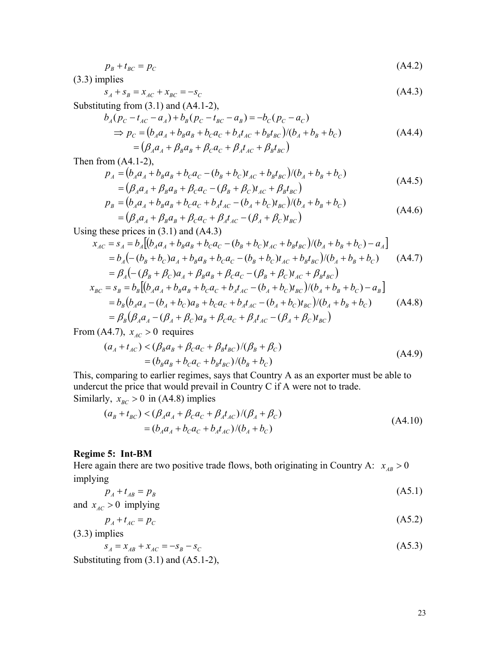$$
p_B + t_{BC} = p_C \tag{A4.2}
$$

(3.3) implies

$$
s_A + s_B = x_{AC} + x_{BC} = -s_C \tag{A4.3}
$$

Substituting from (3.1) and (A4.1-2),

$$
b_A(p_C - t_{AC} - a_A) + b_B(p_C - t_{BC} - a_B) = -b_C(p_C - a_C)
$$
  
\n
$$
\Rightarrow p_C = (b_A a_A + b_B a_B + b_C a_C + b_A t_{AC} + b_B t_{BC})/(b_A + b_B + b_C)
$$
  
\n
$$
= (\beta_A a_A + \beta_B a_B + \beta_C a_C + \beta_A t_{AC} + \beta_B t_{BC})
$$
\n(A4.4)

Then from (A4.1-2),

$$
p_A = (b_A a_A + b_B a_B + b_C a_C - (b_B + b_C) t_{AC} + b_B t_{BC})/(b_A + b_B + b_C)
$$
  
=  $(\beta_A a_A + \beta_B a_B + \beta_C a_C - (\beta_B + \beta_C) t_{AC} + \beta_B t_{BC})$  (A4.5)

$$
p_B = (b_A a_A + b_B a_B + b_C a_C + b_A t_{AC} - (b_A + b_C) t_{BC})/(b_A + b_B + b_C)
$$
  
=  $(\beta_A a_A + \beta_B a_B + \beta_C a_C + \beta_A t_{AC} - (\beta_A + \beta_C) t_{BC})$  (A4.6)

Using these prices in  $(3.1)$  and  $(A4.3)$ 

$$
x_{AC} = s_A = b_A [(b_A a_A + b_B a_B + b_C a_C - (b_B + b_C) t_{AC} + b_B t_{BC})/(b_A + b_B + b_C) - a_A]
$$
  
\n
$$
= b_A (- (b_B + b_C) a_A + b_B a_B + b_C a_C - (b_B + b_C) t_{AC} + b_B t_{BC})/(b_A + b_B + b_C)
$$
 (A4.7)  
\n
$$
= \beta_A (- (\beta_B + \beta_C) a_A + \beta_B a_B + \beta_C a_C - (\beta_B + \beta_C) t_{AC} + \beta_B t_{BC})
$$
  
\n
$$
x_{BC} = s_B = b_B [(b_A a_A + b_B a_B + b_C a_C + b_A t_{AC} - (b_A + b_C) t_{BC})/(b_A + b_B + b_C) - a_B]
$$
  
\n
$$
= b_B (b_A a_A - (b_A + b_C) a_B + b_C a_C + b_A t_{AC} - (b_A + b_C) t_{BC})/(b_A + b_B + b_C)
$$
 (A4.8)  
\n
$$
= \beta_B (\beta_A a_A - (\beta_A + \beta_C) a_B + \beta_C a_C + \beta_A t_{AC} - (\beta_A + \beta_C) t_{BC})
$$

From (A4.7),  $x_{AC} > 0$  requires

$$
(a_A + t_{AC}) < (\beta_B a_B + \beta_C a_C + \beta_B t_{BC}) / (\beta_B + \beta_C)
$$
  
=  $(b_B a_B + b_C a_C + b_B t_{BC}) / (b_B + b_C)$  (A4.9)

This, comparing to earlier regimes, says that Country A as an exporter must be able to undercut the price that would prevail in Country C if A were not to trade. Similarly,  $x_{BC} > 0$  in (A4.8) implies

$$
(aB + tBC) < (\betaAaA + \betaCaC + \betaAtAC)/(\betaA + \betaC)= (bAaA + bCaC + bAtAC)/(bA + bC)
$$
\n(A4.10)

#### **Regime 5: Int-BM**

Here again there are two positive trade flows, both originating in Country A:  $x_{AB} > 0$ implying

$$
p_A + t_{AB} = p_B \tag{A5.1}
$$

and  $x_{AC} > 0$  implying

$$
p_A + t_{AC} = p_C \tag{A5.2}
$$

(3.3) implies

$$
s_A = x_{AB} + x_{AC} = -s_B - s_C \tag{A5.3}
$$

Substituting from (3.1) and (A5.1-2),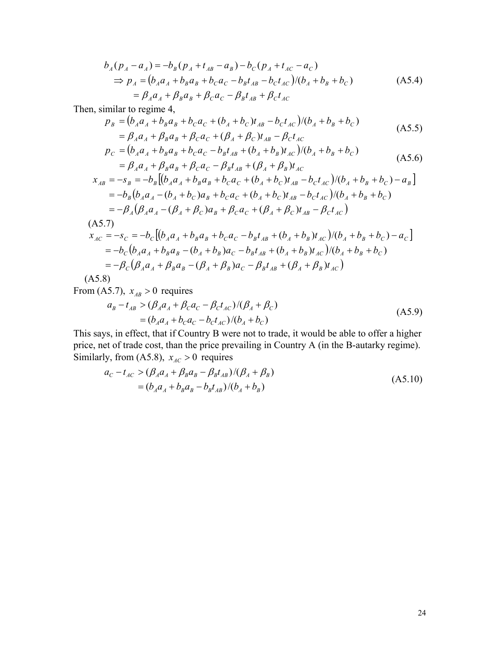$$
b_A(p_A - a_A) = -b_B(p_A + t_{AB} - a_B) - b_C(p_A + t_{AC} - a_C)
$$
  
\n
$$
\Rightarrow p_A = (b_A a_A + b_B a_B + b_C a_C - b_B t_{AB} - b_C t_{AC})/(b_A + b_B + b_C)
$$
  
\n
$$
= \beta_A a_A + \beta_B a_B + \beta_C a_C - \beta_B t_{AB} + \beta_C t_{AC}
$$
\n(A5.4)

Then, similar to regime 4,

$$
p_B = (b_A a_A + b_B a_B + b_C a_C + (b_A + b_C) t_{AB} - b_C t_{AC})/(b_A + b_B + b_C)
$$
  
=  $\beta_A a_A + \beta_B a_B + \beta_C a_C + (\beta_A + \beta_C) t_{AB} - \beta_C t_{AC}$  (A5.5)

$$
p_C = (b_A a_A + b_B a_B + b_C a_C - b_B t_{AB} + (b_A + b_B) t_{AC})/(b_A + b_B + b_C)
$$
  
=  $\beta_A a_A + \beta_B a_B + \beta_C a_C - \beta_B t_{AB} + (\beta_A + \beta_B) t_{AC}$  (A5.6)

$$
x_{AB} = -s_B = -b_B [(b_A a_A + b_B a_B + b_C a_C + (b_A + b_C) t_{AB} - b_C t_{AC})/(b_A + b_B + b_C) - a_B]
$$
  
=  $-b_B (b_A a_A - (b_A + b_C) a_B + b_C a_C + (b_A + b_C) t_{AB} - b_C t_{AC})/(b_A + b_B + b_C)$   
=  $-\beta_A (\beta_A a_A - (\beta_A + \beta_C) a_B + \beta_C a_C + (\beta_A + \beta_C) t_{AB} - \beta_C t_{AC})$   
(A5.7)

$$
x_{AC} = -s_C = -b_C [(b_A a_A + b_B a_B + b_C a_C - b_B t_{AB} + (b_A + b_B) t_{AC})/(b_A + b_B + b_C) - a_C]
$$
  
=  $-b_C (b_A a_A + b_B a_B - (b_A + b_B) a_C - b_B t_{AB} + (b_A + b_B) t_{AC})/(b_A + b_B + b_C)$   
=  $-\beta_C (\beta_A a_A + \beta_B a_B - (\beta_A + \beta_B) a_C - \beta_B t_{AB} + (\beta_A + \beta_B) t_{AC})$ 

(A5.8)

From (A5.7),  $x_{AB} > 0$  requires

$$
a_B - t_{AB} > (\beta_A a_A + \beta_C a_C - \beta_C t_{AC}) / (\beta_A + \beta_C)
$$
  
=  $(b_A a_A + b_C a_C - b_C t_{AC}) / (b_A + b_C)$  (A5.9)

This says, in effect, that if Country B were not to trade, it would be able to offer a higher price, net of trade cost, than the price prevailing in Country A (in the B-autarky regime). Similarly, from (A5.8),  $x_{AC} > 0$  requires

$$
a_C - t_{AC} > (\beta_A a_A + \beta_B a_B - \beta_B t_{AB}) / (\beta_A + \beta_B)
$$
  
=  $(b_A a_A + b_B a_B - b_B t_{AB}) / (b_A + b_B)$  (A5.10)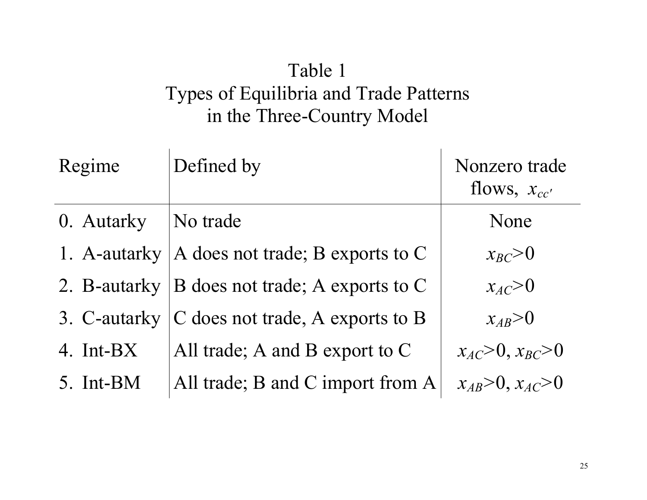### Table 1 Types of Equilibria and Trade Patterns in the Three-Country Model

| Regime       | Defined by                       | Nonzero trade<br>flows, $x_{cc}$ |
|--------------|----------------------------------|----------------------------------|
| 0. Autarky   | No trade                         | None                             |
| 1. A-autarky | A does not trade; B exports to C | $x_{BC} > 0$                     |
| 2. B-autarky | B does not trade; A exports to C | $x_{AC} > 0$                     |
| 3. C-autarky | C does not trade, A exports to B | $x_{AB} > 0$                     |
| 4. Int-BX    | All trade; A and B export to $C$ | $x_{AC} > 0, x_{BC} > 0$         |
| 5. Int-BM    | All trade; B and C import from A | $x_{AB} > 0, x_{AC} > 0$         |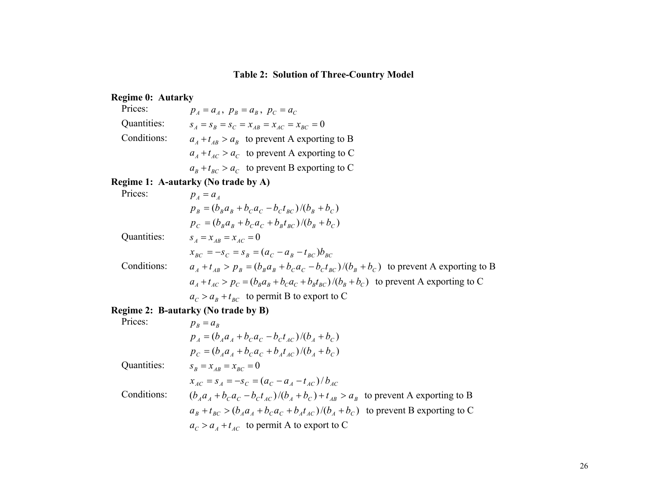### **Table 2: Solution of Three-Country Model**

#### **Regime 0: Autarky**

| Prices:     | $p_A = a_A$ , $p_B = a_B$ , $p_C = a_C$              |
|-------------|------------------------------------------------------|
| Quantities: | $S_A = S_B = S_C = X_{AB} = X_{AC} = X_{BC} = 0$     |
| Conditions: | $a_{A} + t_{AB} > a_{B}$ to prevent A exporting to B |
|             | $a_A + t_{AC} > a_C$ to prevent A exporting to C     |
|             | $a_R + t_{RC} > a_C$ to prevent B exporting to C     |

#### **Regime 1: A-autarky (No trade by A)**

Prices:

\n
$$
p_{A} = a_{A}
$$
\n
$$
p_{B} = (b_{B}a_{B} + b_{C}a_{C} - b_{C}t_{BC})/(b_{B} + b_{C})
$$
\n
$$
p_{C} = (b_{B}a_{B} + b_{C}a_{C} + b_{B}t_{BC})/(b_{B} + b_{C})
$$
\nQuantities:

\n
$$
s_{A} = x_{AB} = x_{AC} = 0
$$
\n
$$
x_{BC} = -s_{C} = s_{B} = (a_{C} - a_{B} - t_{BC})b_{BC}
$$
\nConditions:

\n
$$
a_{A} + t_{AB} > p_{B} = (b_{B}a_{B} + b_{C}a_{C} - b_{C}t_{BC})/(b_{B} + b_{C})
$$
\nto prevent A exporting to B

\n
$$
a_{A} + t_{AC} > p_{C} = (b_{B}a_{B} + b_{C}a_{C} + b_{B}t_{BC})/(b_{B} + b_{C})
$$
\nto prevent A exporting to C

\n
$$
a_{C} > a_{B} + t_{BC}
$$
\nto permit B to export to C

### **Regime 2: B-autarky (No trade by B)**

| Prices:     | $p_p = a_p$                                                                               |
|-------------|-------------------------------------------------------------------------------------------|
|             | $p_{4} = (b_{4}a_{4} + b_{c}a_{c} - b_{c}t_{4c})/(b_{4} + b_{c})$                         |
|             | $p_c = (b_d a_d + b_c a_c + b_d t_{4c})/(b_d + b_c)$                                      |
| Quantities: | $S_R = X_{AR} = X_{RC} = 0$                                                               |
|             | $x_{AC} = s_A = -s_C = (a_C - a_A - t_{AC})/b_{AC}$                                       |
| Conditions: | $(b_A a_A + b_C a_C - b_C t_{AC})/(b_A + b_C) + t_{AB} > a_B$ to prevent A exporting to B |
|             | $a_R + t_{BC} > (b_A a_A + b_C a_C + b_A t_{AC})/(b_A + b_C)$ to prevent B exporting to C |
|             | $a_C > a_A + t_{AC}$ to permit A to export to C                                           |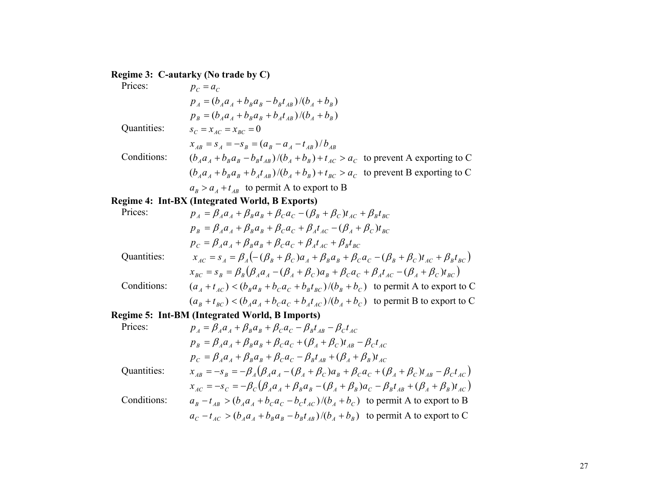#### **Regime 3: C-autarky (No trade by C)**

| Prices:     | $p_c = a_c$                                                                                                                                                                                                                                     |
|-------------|-------------------------------------------------------------------------------------------------------------------------------------------------------------------------------------------------------------------------------------------------|
|             | $p_{A} = (b_{A}a_{A} + b_{B}a_{B} - b_{B}t_{AB})/(b_{A} + b_{B})$                                                                                                                                                                               |
|             | $p_{\scriptscriptstyle B} = (b_{\scriptscriptstyle A} a_{\scriptscriptstyle A} + b_{\scriptscriptstyle B} a_{\scriptscriptstyle B} + b_{\scriptscriptstyle A} t_{\scriptscriptstyle A} )/(b_{\scriptscriptstyle A} + b_{\scriptscriptstyle B})$ |
| Quantities: | $s_C = x_{AC} = x_{BC} = 0$                                                                                                                                                                                                                     |
|             | $x_{AB} = s_A = -s_B = (a_B - a_A - t_{AB})/b_{AB}$                                                                                                                                                                                             |
| Conditions: | $(b_{a}a_{a}+b_{n}a_{n}-b_{n}t_{n})/(b_{a}+b_{n})+t_{AC}>a_{C}$ to prevent A exporting to C                                                                                                                                                     |
|             | $(b_A a_A + b_B a_B + b_A t_{AB})/(b_A + b_B) + t_{BC} > a_C$ to prevent B exporting to C                                                                                                                                                       |
|             | $a_R > a_A + t_{AB}$ to permit A to export to B                                                                                                                                                                                                 |
|             | Regime 4: Int-BX (Integrated World, B Exports)                                                                                                                                                                                                  |
| Prices:     | $p_{A} = \beta_{A} a_{A} + \beta_{B} a_{B} + \beta_{C} a_{C} - (\beta_{B} + \beta_{C}) t_{AC} + \beta_{B} t_{BC}$                                                                                                                               |
|             | $P_a = P_a + P_a + P_b + (P_b + P_b)$                                                                                                                                                                                                           |

 $p_{B} = \beta_{A}a_{A} + \beta_{B}a_{B} + \beta_{C}a_{C} + \beta_{A}t_{AC} - (\beta_{A} + \beta_{C})t_{BC}$  $p_{C} = \beta_{A}a_{A} + \beta_{B}a_{B} + \beta_{C}a_{C} + \beta_{A}t_{AC} + \beta_{B}t_{BC}$ Quantities:  $x_{AC} = s_A = \beta_A \left( -(\beta_B + \beta_C)a_A + \beta_B a_B + \beta_C a_C - (\beta_B + \beta_C) t_{AC} + \beta_B t_{BC} \right)$  $x_{BC} = s_B = \beta_B (\beta_A a_A - (\beta_A + \beta_C) a_B + \beta_C a_C + \beta_A t_{AC} - (\beta_A + \beta_C) t_{BC})$ 

Conditions: 
$$
(a_A + t_{AC}) < (b_B a_B + b_C a_C + b_B t_{BC}) / (b_B + b_C)
$$
 to permit A to export to C  $(a_B + t_{BC}) < (b_A a_A + b_C a_C + b_A t_{AC}) / (b_A + b_C)$  to permit B to export to C

#### **Regime 5: Int-BM (Integrated World, B Imports)**

$$
\begin{aligned}\n\text{Prices:} & p_A &= \beta_A a_A + \beta_B a_B + \beta_C a_C - \beta_B t_{AB} - \beta_C t_{AC} \\
& p_B &= \beta_A a_A + \beta_B a_B + \beta_C a_C + (\beta_A + \beta_C) t_{AB} - \beta_C t_{AC} \\
& p_C &= \beta_A a_A + \beta_B a_B + \beta_C a_C - \beta_B t_{AB} + (\beta_A + \beta_B) t_{AC} \\
& \text{Quantities:} & x_{AB} &= -s_B = -\beta_A (\beta_A a_A - (\beta_A + \beta_C) a_B + \beta_C a_C + (\beta_A + \beta_C) t_{AB} - \beta_C t_{AC}) \\
& x_{AC} &= -s_C = -\beta_C (\beta_A a_A + \beta_B a_B - (\beta_A + \beta_B) a_C - \beta_B t_{AB} + (\beta_A + \beta_B) t_{AC}) \\
& a_B - t_{AB} > (b_A a_A + b_C a_C - b_C t_{AC}) / (b_A + b_C) \text{ to permit A to export to B} \\
& a_C - t_{AC} > (b_A a_A + b_B a_B - b_B t_{AB}) / (b_A + b_B) \text{ to permit A to export to C}\n\end{aligned}
$$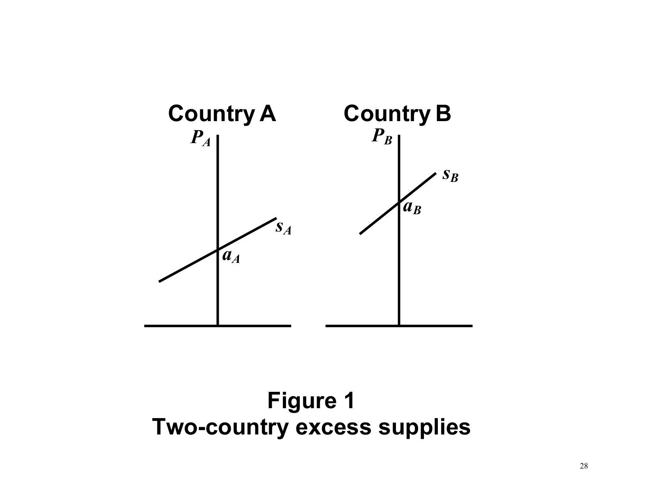

# **Figure 1 Two-country excess supplies**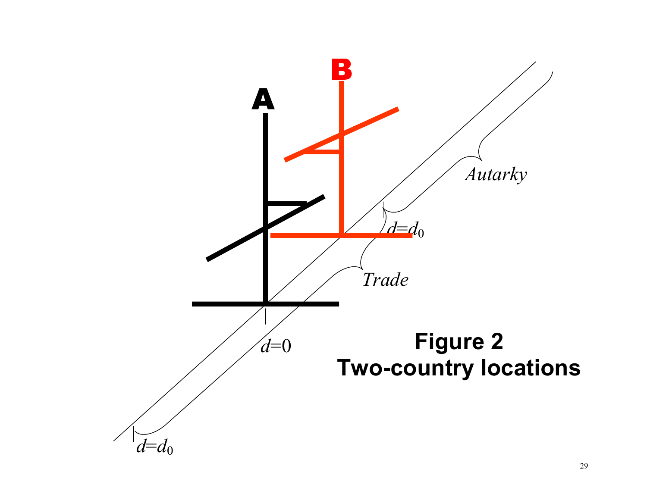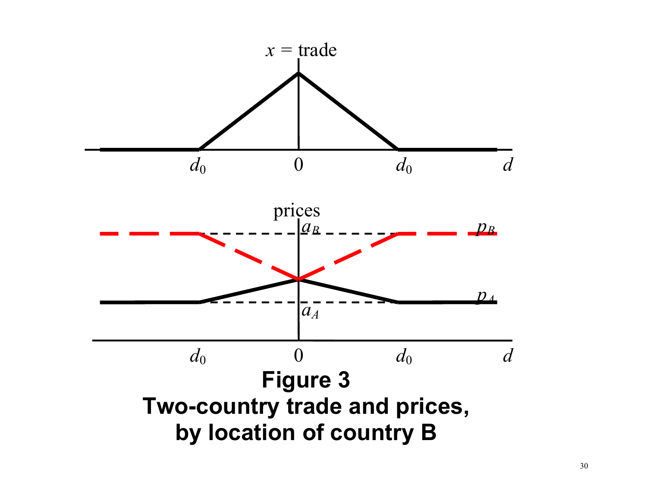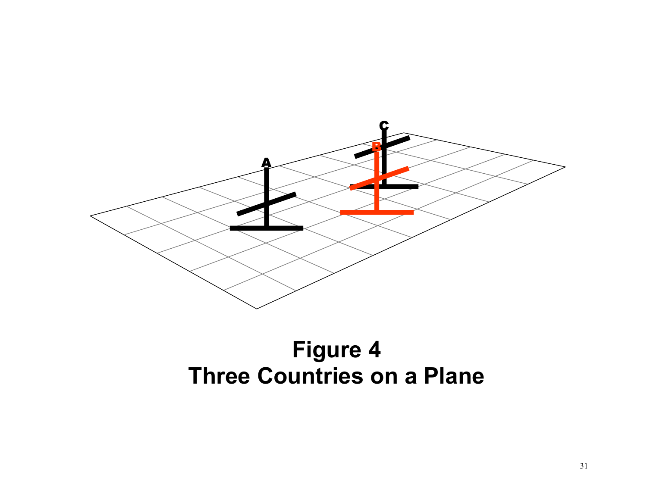

# **Figure 4 Three Countries on a Plane**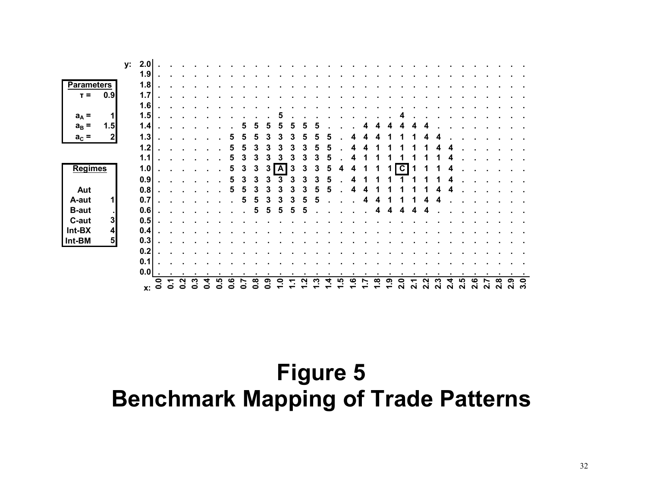|                   |                |    |     | $x: \overset{\circ}{\circ}$ | ↽.<br>$\bullet$ | Ņ<br>$\bullet$ | Ο | o | n<br>o | ဖ<br>o | ◓ | ထု<br>c | ග<br>o | Q |   |   |   | <u>ဖ</u> | œ | <u>ဇာ</u> | 2.0 | N | N | $\sim$ | N | $\sim$ | ശ<br>$\mathbf{\Omega}$ | $\sim$ | ထု<br>N | თ<br>N | 9<br>ო |
|-------------------|----------------|----|-----|-----------------------------|-----------------|----------------|---|---|--------|--------|---|---------|--------|---|---|---|---|----------|---|-----------|-----|---|---|--------|---|--------|------------------------|--------|---------|--------|--------|
|                   |                |    | 0.0 |                             |                 |                |   |   |        |        |   |         |        |   |   |   |   |          |   |           |     |   |   |        |   |        |                        |        |         |        |        |
|                   |                |    | 0.1 |                             |                 |                |   |   |        |        |   |         |        |   |   |   |   |          |   |           |     |   |   |        |   |        |                        |        |         |        |        |
|                   |                |    | 0.2 |                             |                 |                |   |   |        |        |   |         |        |   |   |   |   |          |   |           |     |   |   |        |   |        |                        |        |         |        |        |
| Int-BM            | 5 <sub>l</sub> |    | 0.3 |                             |                 |                |   |   |        |        |   |         |        |   |   |   |   |          |   |           |     |   |   |        |   |        |                        |        |         |        |        |
| Int-BX            | 4              |    | 0.4 |                             |                 |                |   |   |        |        |   |         |        |   |   |   |   |          |   |           |     |   |   |        |   |        |                        |        |         |        |        |
| C-aut             | 3              |    | 0.5 |                             |                 |                |   |   |        |        |   |         |        |   |   |   |   |          |   |           |     |   |   |        |   |        |                        |        |         |        |        |
| <b>B-aut</b>      | л.             |    | 0.6 |                             |                 |                |   |   |        |        |   | 5       | 5      | h |   |   |   |          | 4 | 4         |     |   |   |        |   |        |                        |        |         |        |        |
| A-aut             | $\mathbf{1}$   |    | 0.7 |                             |                 |                |   |   |        |        | 5 | 5       |        |   |   |   |   |          |   |           |     |   |   |        |   |        |                        |        |         |        |        |
| Aut               |                |    | 0.8 |                             |                 |                |   |   |        | 5      | b |         |        |   |   | 5 | 5 | 4        |   |           |     |   |   |        |   |        |                        |        |         |        |        |
|                   |                |    | 0.9 |                             |                 |                |   |   |        | 5      | 3 | 3       |        |   |   |   |   |          |   |           |     |   |   |        |   |        |                        |        |         |        |        |
| <b>Regimes</b>    |                |    | 1.0 |                             |                 |                |   |   |        |        | 3 | 3       | 3      | A | 3 | 3 | 5 |          |   |           | C   |   |   |        |   |        |                        |        |         |        |        |
|                   |                |    | 1.1 |                             |                 |                |   |   |        |        |   | 3       |        |   |   |   |   |          |   |           |     |   |   |        |   |        |                        |        |         |        |        |
|                   |                |    | 1.2 |                             |                 |                |   |   |        |        |   |         |        |   |   |   |   |          |   |           |     |   |   |        |   |        |                        |        |         |        |        |
| $a_c =$           | 2              |    | 1.3 |                             |                 |                |   |   |        |        |   |         |        |   |   |   |   |          |   |           |     |   |   |        |   |        |                        |        |         |        |        |
| $a_B =$           | 1.5            |    | 1.4 |                             |                 |                |   |   |        |        |   |         |        |   |   |   |   |          |   |           |     |   |   |        |   |        |                        |        |         |        |        |
| $a_A =$           | 1              |    | 1.5 |                             |                 |                |   |   |        |        |   |         |        |   |   |   |   |          |   |           |     |   |   |        |   |        |                        |        |         |        |        |
|                   |                |    | 1.6 |                             |                 |                |   |   |        |        |   |         |        |   |   |   |   |          |   |           |     |   |   |        |   |        |                        |        |         |        |        |
| $T =$             | 0.9            |    | 1.7 |                             |                 |                |   |   |        |        |   |         |        |   |   |   |   |          |   |           |     |   |   |        |   |        |                        |        |         |        |        |
| <b>Parameters</b> |                |    | 1.8 |                             |                 |                |   |   |        |        |   |         |        |   |   |   |   |          |   |           |     |   |   |        |   |        |                        |        |         |        |        |
|                   |                |    | 1.9 |                             |                 |                |   |   |        |        |   |         |        |   |   |   |   |          |   |           |     |   |   |        |   |        |                        |        |         |        |        |
|                   |                | у: | 2.0 |                             |                 |                |   |   |        |        |   |         |        |   |   |   |   |          |   |           |     |   |   |        |   |        |                        |        |         |        |        |

# **Figure 5 Benchmark Mapping of Trade Patterns**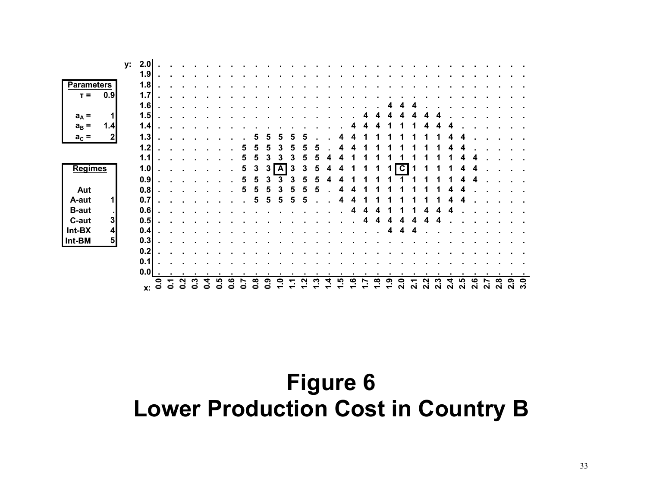|                             |    | Х.    | $\overline{0}$ . | $\bullet$ | $\bullet$ | o | o | o | ဖ<br>⊂ | o | ထု<br>o | ග | o |   |   |   | い | ڢ |   | œ. | ၐ | 2.0 | N | ี | $\sim$ | N | LŊ,<br>$\mathbf{\Omega}$ | ശ<br>$\mathbf{\Omega}$ | $\sim$ | œ<br>$\mathbf{\Omega}$ | თ<br>Ν | 9<br>ო |
|-----------------------------|----|-------|------------------|-----------|-----------|---|---|---|--------|---|---------|---|---|---|---|---|---|---|---|----|---|-----|---|---|--------|---|--------------------------|------------------------|--------|------------------------|--------|--------|
|                             |    | 0.0   |                  |           |           |   |   |   |        |   |         |   |   |   |   |   |   |   |   |    |   |     |   |   |        |   |                          |                        |        |                        |        |        |
|                             |    | 0.1   |                  |           |           |   |   |   |        |   |         |   |   |   |   |   |   |   |   |    |   |     |   |   |        |   |                          |                        |        |                        |        |        |
|                             |    | 0.2   |                  |           |           |   |   |   |        |   |         |   |   |   |   |   |   |   |   |    |   |     |   |   |        |   |                          |                        |        |                        |        |        |
| 5 <sub>l</sub><br>Int-BM    |    | 0.3   |                  |           |           |   |   |   |        |   |         |   |   |   |   |   |   |   |   |    |   |     |   |   |        |   |                          |                        |        |                        |        |        |
| $\vert$<br>Int-BX           |    | 0.4   |                  |           |           |   |   |   |        |   |         |   |   |   |   |   |   |   |   |    | 4 |     | Δ |   |        |   |                          |                        |        |                        |        |        |
| C-aut<br>3                  |    | 0.5   |                  |           |           |   |   |   |        |   |         |   |   |   |   |   |   |   | 4 |    |   |     |   |   |        |   |                          |                        |        |                        |        |        |
| <b>B-aut</b><br>- 1         |    | 0.6   |                  |           |           |   |   |   |        |   |         |   |   |   |   |   |   |   |   |    |   |     |   |   |        |   |                          |                        |        |                        |        |        |
| $\mathbf{1}$<br>A-aut       |    | 0.7   |                  |           |           |   |   |   |        |   | 5       | 5 |   |   |   |   |   |   |   |    |   |     |   |   |        |   |                          |                        |        |                        |        |        |
| Aut                         |    | 0.8   |                  |           |           |   |   |   |        | b | 5       | h |   |   |   | ь |   |   |   |    |   |     |   |   |        |   |                          |                        |        |                        |        |        |
|                             |    | 0.9   |                  |           |           |   |   |   |        | 5 | 5       |   |   |   |   |   |   |   |   |    |   |     |   |   |        |   |                          |                        |        |                        |        |        |
| <b>Regimes</b>              |    | 1.0   |                  |           |           |   |   |   |        | 5 | 3       | 3 | A | 3 | 3 |   |   |   |   |    |   | C   |   |   |        |   |                          |                        |        |                        |        |        |
|                             |    | 1.1   |                  |           |           |   |   |   |        |   | 5       |   |   |   |   |   |   |   |   |    |   |     |   |   |        |   |                          |                        |        |                        |        |        |
|                             |    | 1.2   |                  |           |           |   |   |   |        |   |         |   |   |   |   |   |   |   |   |    |   |     |   |   |        |   |                          |                        |        |                        |        |        |
| $\boldsymbol{2}$<br>$a_c =$ |    | $1.3$ |                  |           |           |   |   |   |        |   |         |   |   |   |   |   |   |   |   |    |   |     |   |   |        |   |                          |                        |        |                        |        |        |
| $a_B =$<br>1.4              |    | 1.4   |                  |           |           |   |   |   |        |   |         |   |   |   |   |   |   |   |   |    |   |     |   |   |        |   |                          |                        |        |                        |        |        |
| $a_A =$<br>1                |    | 1.5   |                  |           |           |   |   |   |        |   |         |   |   |   |   |   |   |   |   |    |   |     |   |   |        |   |                          |                        |        |                        |        |        |
|                             |    | 1.6   |                  |           |           |   |   |   |        |   |         |   |   |   |   |   |   |   |   |    |   |     |   |   |        |   |                          |                        |        |                        |        |        |
| 0.9<br>$T =$                |    | 1.7   |                  |           |           |   |   |   |        |   |         |   |   |   |   |   |   |   |   |    |   |     |   |   |        |   |                          |                        |        |                        |        |        |
| <b>Parameters</b>           |    | 1.8   |                  |           |           |   |   |   |        |   |         |   |   |   |   |   |   |   |   |    |   |     |   |   |        |   |                          |                        |        |                        |        |        |
|                             | у: | 1.9   |                  |           |           |   |   |   |        |   |         |   |   |   |   |   |   |   |   |    |   |     |   |   |        |   |                          |                        |        |                        |        |        |
|                             |    | 2.0   |                  |           |           |   |   |   |        |   |         |   |   |   |   |   |   |   |   |    |   |     |   |   |        |   |                          |                        |        |                        |        |        |

# **Figure 6 Lower Production Cost in Country B**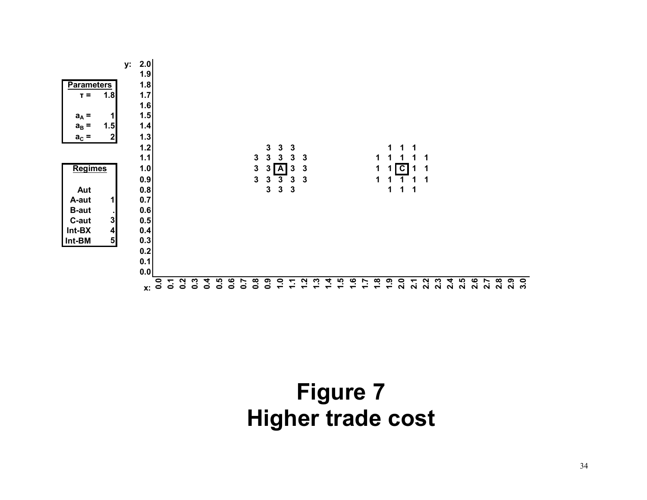

# **Figure 7 Higher trade cost**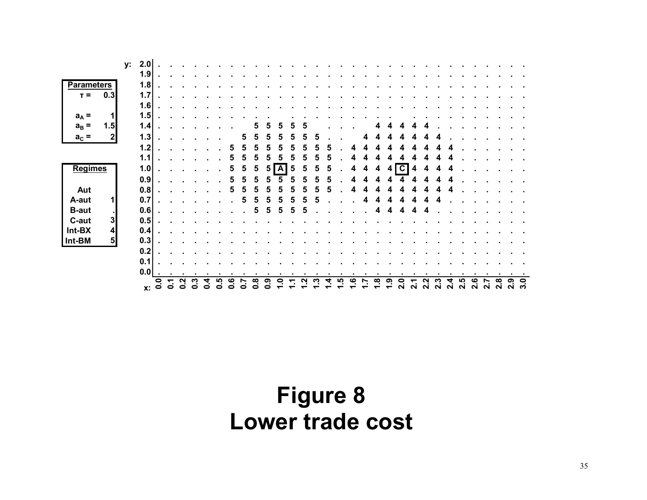|                            | у: | 2.0       |              |    |   |   |   |   |   |   |   |   |   |   |   |   |  |    |    |    |                         |   |   |        |   |   |   |        |        |        |   |
|----------------------------|----|-----------|--------------|----|---|---|---|---|---|---|---|---|---|---|---|---|--|----|----|----|-------------------------|---|---|--------|---|---|---|--------|--------|--------|---|
|                            |    | 1.9       |              |    |   |   |   |   |   |   |   |   |   |   |   |   |  |    |    |    |                         |   |   |        |   |   |   |        |        |        |   |
| <b>Parameters</b>          |    | 1.8       |              |    |   |   |   |   |   |   |   |   |   |   |   |   |  |    |    |    |                         |   |   |        |   |   |   |        |        |        |   |
| 0.3<br>$T =$               |    | 1.7       |              |    |   |   |   |   |   |   |   |   |   |   |   |   |  |    |    |    |                         |   |   |        |   |   |   |        |        |        |   |
|                            |    | 1.6       |              |    |   |   |   |   |   |   |   |   |   |   |   |   |  |    |    |    |                         |   |   |        |   |   |   |        |        |        |   |
| 1<br>$a_A =$               |    | 1.5       |              |    |   |   |   |   |   |   |   |   |   |   |   |   |  |    |    |    |                         |   |   |        |   |   |   |        |        |        |   |
| 1.5<br>$a_B =$             |    | 1.4       |              |    |   |   |   |   |   |   |   |   |   |   |   |   |  |    |    |    |                         |   |   |        |   |   |   |        |        |        |   |
| 2<br>$a_c =$               |    | 1.3       |              |    |   |   |   |   |   | 5 | h |   |   |   | h | 5 |  |    |    |    |                         |   |   |        |   |   |   |        |        |        |   |
|                            |    | $1.2$     |              |    |   |   |   |   |   | 5 | 5 |   |   |   | 5 |   |  |    |    |    |                         |   |   |        |   |   |   |        |        |        |   |
|                            |    |           |              |    |   |   |   |   | h |   |   |   |   |   |   |   |  |    |    |    |                         |   |   |        |   |   |   |        |        |        |   |
|                            |    | 1.1       |              |    |   |   |   |   |   | 5 | 5 |   |   |   |   |   |  |    |    |    |                         |   |   |        |   |   |   |        |        |        |   |
| <b>Regimes</b>             |    | 1.0       |              |    |   |   |   |   | 5 | 5 | 5 | 5 | A | 5 | 5 | 5 |  |    | 4  | 4  | $\overline{\mathbf{c}}$ | 4 | 4 |        |   |   |   |        |        |        |   |
|                            |    | 0.9       |              |    |   |   |   |   | 5 | 5 | 5 |   |   |   | 5 |   |  |    |    |    |                         |   |   |        |   |   |   |        |        |        |   |
| Aut                        |    | 0.8       |              |    |   |   |   |   | b | 5 | 5 |   |   |   | 5 | 5 |  |    |    |    |                         |   |   |        |   |   |   |        |        |        |   |
| 1<br>A-aut                 |    | 0.7       |              |    |   |   |   |   |   | 5 | 5 | 5 | 5 | 5 | 5 |   |  |    |    |    |                         |   |   |        |   |   |   |        |        |        |   |
| <b>B-aut</b>               |    | 0.6       |              |    |   |   |   |   |   |   | 5 | 5 | 5 | 5 | 5 |   |  |    |    | 4  |                         |   |   |        |   |   |   |        |        |        |   |
| C-aut<br>3                 |    | 0.5       |              |    |   |   |   |   |   |   |   |   |   |   |   |   |  |    |    |    |                         |   |   |        |   |   |   |        |        |        |   |
| $\boldsymbol{4}$<br>Int-BX |    | 0.4       |              |    |   |   |   |   |   |   |   |   |   |   |   |   |  |    |    |    |                         |   |   |        |   |   |   |        |        |        |   |
| 5 <sub>5</sub><br>Int-BM   |    | 0.3       |              |    |   |   |   |   |   |   |   |   |   |   |   |   |  |    |    |    |                         |   |   |        |   |   |   |        |        |        |   |
|                            |    | 0.2       |              |    |   |   |   |   |   |   |   |   |   |   |   |   |  |    |    |    |                         |   |   |        |   |   |   |        |        |        |   |
|                            |    | 0.1       |              |    |   |   |   |   |   |   |   |   |   |   |   |   |  |    |    |    |                         |   |   |        |   |   |   |        |        |        |   |
|                            |    | 0.0       |              |    |   |   |   |   |   |   |   |   |   |   |   |   |  |    |    |    |                         |   |   |        |   |   |   |        |        |        |   |
|                            |    |           |              | ∽. |   |   |   |   |   |   |   | σ | o |   |   |   |  | tΟ | ထု | o. | $\bullet$               |   |   |        |   |   | ဖ |        | ထု     | თ.     | Q |
|                            |    | <b>X:</b> | $\mathbf{0}$ | Ō  | 0 | o | c | c | c | o | o | c |   |   |   |   |  |    |    |    | ี่                      | ี | ິ | $\sim$ | N | N | N | $\sim$ | $\sim$ | $\sim$ | ო |

# **Figure 8 Lower trade cost**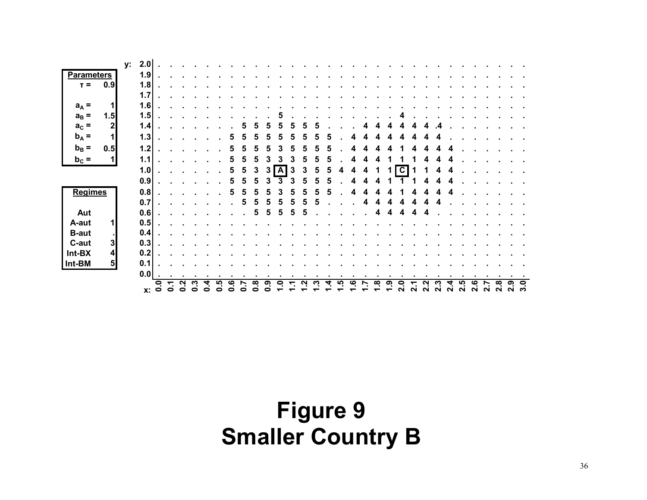|                   |                  |    | <b>x:</b> | $\overline{0}$ . | ↽.<br>$\bullet$ | Ņ<br>o | ო<br>e | c | ഥ | ဖ |   | ထု<br>っ | ග | 0 |   |   |   | ഗ | <u>ဖ</u> | œ | <u>၈</u> | $\ddot{\mathbf{S}}$<br>ฺ∾ | ี่ | بہ<br>ุ่ | <u>ო</u><br>ุ่ | 4.<br>ี่ | ယ္<br>N | <u>ဖ</u><br>$\mathbf{N}$ | ี | ထု<br>ິ | თ | 3.0 |
|-------------------|------------------|----|-----------|------------------|-----------------|--------|--------|---|---|---|---|---------|---|---|---|---|---|---|----------|---|----------|---------------------------|----|----------|----------------|----------|---------|--------------------------|---|---------|---|-----|
|                   |                  |    | 0.0       |                  |                 |        |        |   |   |   |   |         |   |   |   |   |   |   |          |   |          |                           |    |          |                |          |         |                          |   |         |   |     |
| Int-BM            | 5 <sub>5</sub>   |    | 0.1       |                  |                 |        |        |   |   |   |   |         |   |   |   |   |   |   |          |   |          |                           |    |          |                |          |         |                          |   |         |   |     |
| Int-BX            | $\boldsymbol{4}$ |    | 0.2       |                  |                 |        |        |   |   |   |   |         |   |   |   |   |   |   |          |   |          |                           |    |          |                |          |         |                          |   |         |   |     |
| C-aut             | 3                |    | 0.3       |                  |                 |        |        |   |   |   |   |         |   |   |   |   |   |   |          |   |          |                           |    |          |                |          |         |                          |   |         |   |     |
| <b>B-aut</b>      | ×.               |    | 0.4       |                  |                 |        |        |   |   |   |   |         |   |   |   |   |   |   |          |   |          |                           |    |          |                |          |         |                          |   |         |   |     |
| A-aut             | $\mathbf{1}$     |    | 0.5       |                  |                 |        |        |   |   |   |   |         |   |   |   |   |   |   |          |   |          |                           |    |          |                |          |         |                          |   |         |   |     |
| Aut               |                  |    | 0.6       |                  |                 |        |        |   |   |   |   | 5       |   |   |   |   |   |   |          | 4 |          |                           |    |          |                |          |         |                          |   |         |   |     |
|                   |                  |    | 0.7       |                  |                 |        |        |   |   |   | 5 | 5       | 5 |   |   |   |   |   |          |   |          |                           |    |          |                |          |         |                          |   |         |   |     |
| <b>Regimes</b>    |                  |    | 0.8       |                  |                 |        |        |   |   | 5 | 5 | 5       |   |   |   |   | 5 |   | 4        |   |          |                           |    | 4        | л              |          |         |                          |   |         |   |     |
|                   |                  |    | 0.9       |                  |                 |        |        |   |   | 5 | 5 | 5       |   |   |   |   |   |   |          |   |          |                           |    |          |                |          |         |                          |   |         |   |     |
|                   |                  |    | 1.0       |                  |                 |        |        |   |   |   | 5 | 3       | 3 | A | 3 | 5 | 5 |   |          |   |          | C                         |    |          |                |          |         |                          |   |         |   |     |
| $b_c =$           | $\mathbf{1}$     |    | 1.1       |                  |                 |        |        |   |   |   | 5 | 5       |   |   |   |   | 5 |   | 4        |   |          |                           |    |          |                |          |         |                          |   |         |   |     |
| $b_B =$           | 0.5              |    | 1.2       |                  |                 |        |        |   |   |   |   | 5       |   |   |   |   |   |   |          |   |          |                           |    |          |                |          |         |                          |   |         |   |     |
| $b_A =$           | 1                |    | 1.3       |                  |                 |        |        |   |   |   |   |         |   |   |   |   |   |   |          |   |          |                           |    |          |                |          |         |                          |   |         |   |     |
| $a_c =$           | $\boldsymbol{2}$ |    | 1.4       |                  |                 |        |        |   |   |   |   |         |   |   |   |   |   |   |          |   |          |                           |    |          |                |          |         |                          |   |         |   |     |
| $a_B =$           | 1.5              |    | 1.5       |                  |                 |        |        |   |   |   |   |         |   |   |   |   |   |   |          |   |          |                           |    |          |                |          |         |                          |   |         |   |     |
| $a_A =$           | 1                |    | 1.6       |                  |                 |        |        |   |   |   |   |         |   |   |   |   |   |   |          |   |          |                           |    |          |                |          |         |                          |   |         |   |     |
|                   |                  |    | 1.7       |                  |                 |        |        |   |   |   |   |         |   |   |   |   |   |   |          |   |          |                           |    |          |                |          |         |                          |   |         |   |     |
| $T =$             | 0.9              |    | 1.8       |                  |                 |        |        |   |   |   |   |         |   |   |   |   |   |   |          |   |          |                           |    |          |                |          |         |                          |   |         |   |     |
| <b>Parameters</b> |                  |    | 1.9       |                  |                 |        |        |   |   |   |   |         |   |   |   |   |   |   |          |   |          |                           |    |          |                |          |         |                          |   |         |   |     |
|                   |                  | у: | 2.0       |                  |                 |        |        |   |   |   |   |         |   |   |   |   |   |   |          |   |          |                           |    |          |                |          |         |                          |   |         |   |     |

# **Figure 9 Smaller Country B**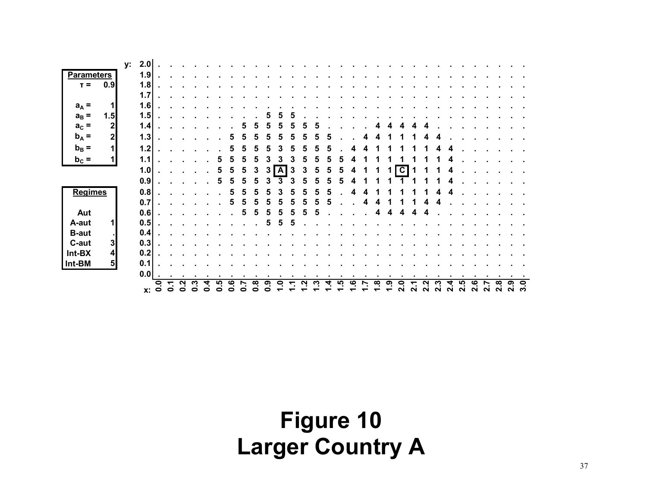| у:                         | 2.0            |                  |                 |        |   |   |    |   |        |        |   |   |   |   |   |   |          |    |          |   |                         |        |        |                    |   |        |             |   |              |        |        |
|----------------------------|----------------|------------------|-----------------|--------|---|---|----|---|--------|--------|---|---|---|---|---|---|----------|----|----------|---|-------------------------|--------|--------|--------------------|---|--------|-------------|---|--------------|--------|--------|
| <b>Parameters</b>          | 1.9            |                  |                 |        |   |   |    |   |        |        |   |   |   |   |   |   |          |    |          |   |                         |        |        |                    |   |        |             |   |              |        |        |
| 0.9<br>$T =$               | 1.8            |                  |                 |        |   |   |    |   |        |        |   |   |   |   |   |   |          |    |          |   |                         |        |        |                    |   |        |             |   |              |        |        |
|                            | 1.7            |                  |                 |        |   |   |    |   |        |        |   |   |   |   |   |   |          |    |          |   |                         |        |        |                    |   |        |             |   |              |        |        |
| $\mathbf{1}$<br>$a_A =$    | 1.6            |                  |                 |        |   |   |    |   |        |        |   |   |   |   |   |   |          |    |          |   |                         |        |        |                    |   |        |             |   |              |        |        |
| $a_B =$<br>1.5             | 1.5            |                  |                 |        |   |   |    |   |        |        |   |   |   |   |   |   |          |    |          |   |                         |        |        |                    |   |        |             |   |              |        |        |
| $\mathbf 2$<br>$a_c =$     | 1.4            |                  |                 |        |   |   |    |   |        | 5      | 5 |   |   |   |   |   |          |    |          |   |                         |        |        |                    |   |        |             |   |              |        |        |
| $b_A =$<br>$2 \mid$        | 1.3            |                  |                 |        |   |   |    |   |        | 5      |   |   |   |   |   |   |          |    |          |   |                         |        |        |                    |   |        |             |   |              |        |        |
| $b_B =$<br>1               | 1.2            |                  |                 |        |   |   |    |   | 5      | 5      |   |   |   |   |   |   |          |    |          |   |                         |        |        |                    |   |        |             |   |              |        |        |
| $b_c =$<br>1               | 1.1            |                  |                 |        |   |   |    |   | 5      |        |   |   |   | 5 |   |   |          |    |          |   |                         |        |        |                    |   |        |             |   |              |        |        |
|                            | 1.0            |                  |                 |        |   |   |    | 5 | 3      | 3      | A | 3 | 3 | 5 | 5 | 5 |          |    |          |   | $\overline{\mathbf{c}}$ |        |        |                    |   |        |             |   |              |        |        |
|                            | 0.9            |                  |                 |        |   |   |    |   | 5      |        |   |   |   |   |   |   |          |    |          |   |                         |        |        |                    |   |        |             |   |              |        |        |
| <b>Regimes</b>             | 0.8            |                  |                 |        |   |   |    | 5 |        | 5      |   |   |   | 5 | 5 |   |          |    |          |   |                         |        |        |                    |   |        |             |   |              |        |        |
|                            |                |                  |                 |        |   |   |    |   | 5      |        |   |   |   |   |   |   |          |    |          |   |                         |        |        |                    |   |        |             |   |              |        |        |
|                            | 0.7            |                  |                 |        |   |   |    |   | b      | 5      | 5 |   |   |   | 5 |   |          |    |          |   |                         |        |        |                    |   |        |             |   |              |        |        |
| Aut                        | 0.6            |                  |                 |        |   |   |    | ь | 5      | 5      | 5 | 5 | 5 | 5 |   |   |          |    | Δ        |   | Δ                       |        |        |                    |   |        |             |   |              |        |        |
| $\mathbf{1}$<br>A-aut      | 0.5            |                  |                 |        |   |   |    |   |        | 5      | 5 | 5 |   |   |   |   |          |    |          |   |                         |        |        |                    |   |        |             |   |              |        |        |
| <b>B-aut</b><br>- 1        | 0.4            |                  |                 |        |   |   |    |   |        |        |   |   |   |   |   |   |          |    |          |   |                         |        |        |                    |   |        |             |   |              |        |        |
| 3<br>C-aut                 | 0.3            |                  |                 |        |   |   |    |   |        |        |   |   |   |   |   |   |          |    |          |   |                         |        |        |                    |   |        |             |   |              |        |        |
| $\boldsymbol{4}$<br>Int-BX | 0.2            |                  |                 |        |   |   |    |   |        |        |   |   |   |   |   |   |          |    |          |   |                         |        |        |                    |   |        |             |   |              |        |        |
| 5 <sub>5</sub><br>Int-BM   | 0.1            |                  |                 |        |   |   |    |   |        |        |   |   |   |   |   |   |          |    |          |   |                         |        |        |                    |   |        |             |   |              |        |        |
|                            | 0.0            | $\blacksquare$   |                 |        |   |   |    |   |        |        |   |   |   |   |   |   |          |    |          |   |                         |        |        |                    |   |        |             |   |              |        |        |
|                            | $\mathbf{x}$ : | $\overline{0}$ . | ↽.<br>$\bullet$ | N<br>0 | o | ◓ | ڡٜ | c | œ<br>8 | თ<br>- | P |   | א | ო | 4 | ၯ | <u>ဖ</u> | r. | $\infty$ | თ | $\bullet$<br>ี          | $\sim$ | $\sim$ | <b>ی</b><br>$\sim$ | N | ഥ<br>N | ڢ<br>$\sim$ | N | œ.<br>$\sim$ | ග<br>N | 9<br>က |

# **Figure 10 Larger Country A**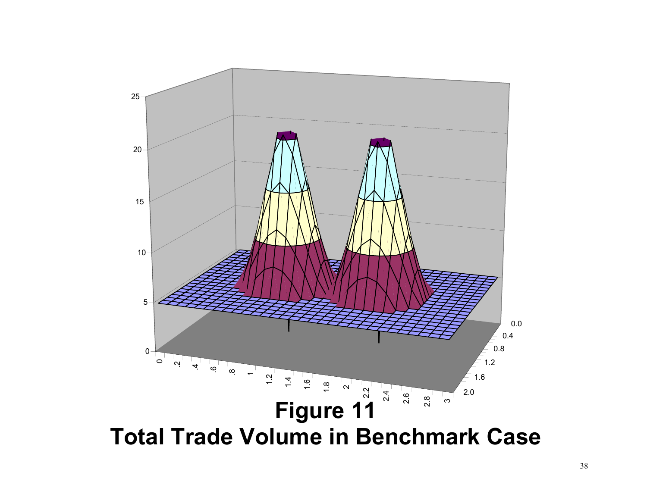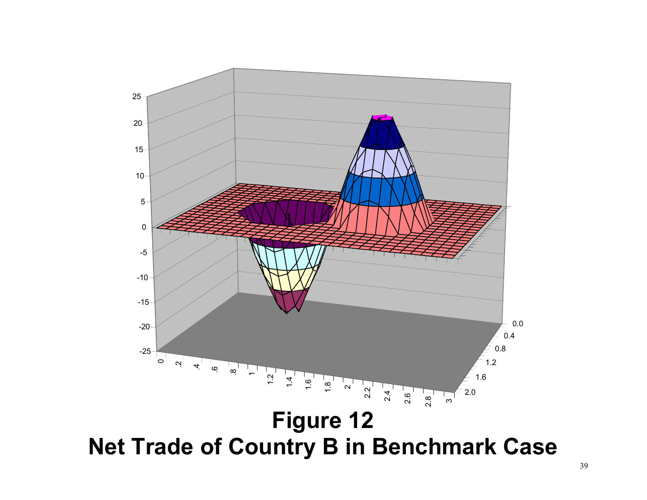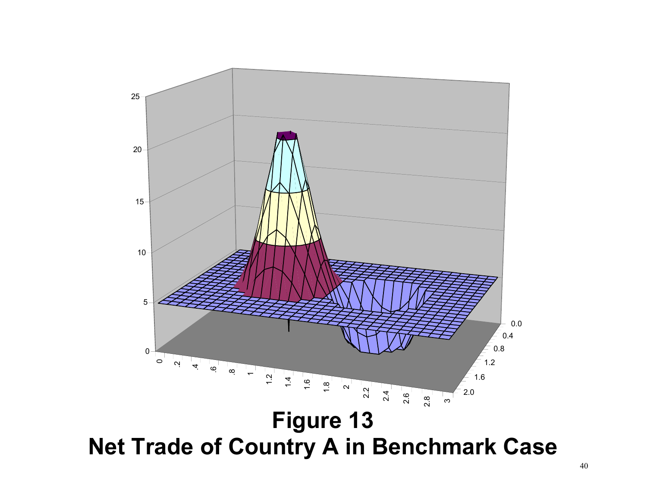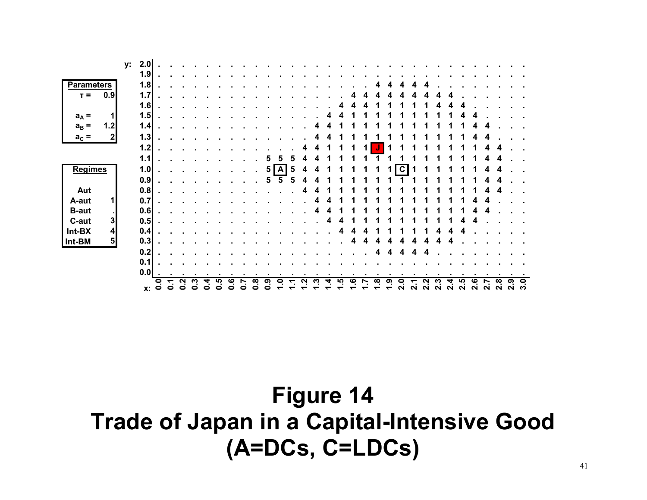| у.                         | 2.0 |              |           |   |   |   |   |   |   |   |   |   |   |   |   |   |   |          |    |           |   |   |   |        |        |   |        |        |        |   |              |
|----------------------------|-----|--------------|-----------|---|---|---|---|---|---|---|---|---|---|---|---|---|---|----------|----|-----------|---|---|---|--------|--------|---|--------|--------|--------|---|--------------|
|                            | 1.9 |              |           |   |   |   |   |   |   |   |   |   |   |   |   |   |   |          |    |           |   |   |   |        |        |   |        |        |        |   |              |
| <b>Parameters</b>          | 1.8 |              |           |   |   |   |   |   |   |   |   |   |   |   |   |   |   |          |    |           |   |   |   |        |        |   |        |        |        |   |              |
| 0.9<br>$T =$               | 1.7 |              |           |   |   |   |   |   |   |   |   |   |   |   |   |   |   |          |    |           |   |   |   |        |        |   |        |        |        |   |              |
|                            | 1.6 |              |           |   |   |   |   |   |   |   |   |   |   |   |   |   |   |          |    |           |   |   |   |        |        |   |        |        |        |   |              |
| $a_A =$<br>1               | 1.5 |              |           |   |   |   |   |   |   |   |   |   |   |   |   |   |   |          |    |           |   |   |   |        |        |   |        |        |        |   |              |
| 1.2<br>$a_B =$             | 1.4 |              |           |   |   |   |   |   |   |   |   |   |   |   |   |   |   |          |    |           |   |   |   |        |        |   |        |        |        |   |              |
| $\mathbf{2}$<br>$a_c =$    | 1.3 |              |           |   |   |   |   |   |   |   |   |   |   |   | 4 |   |   |          |    |           |   |   |   |        |        |   |        |        |        |   |              |
|                            |     |              |           |   |   |   |   |   |   |   |   |   |   |   |   |   |   |          |    |           |   |   |   |        |        |   |        |        |        |   |              |
|                            | 1.2 |              |           |   |   |   |   |   |   |   |   |   |   |   | 4 |   |   |          |    |           |   |   |   |        |        |   |        |        |        |   |              |
|                            | 1.1 |              |           |   |   |   |   |   |   |   |   |   |   |   |   |   |   |          |    |           |   |   |   |        |        |   |        |        |        |   |              |
| <b>Regimes</b>             | 1.0 |              |           |   |   |   |   |   |   |   | 5 | A | 5 | 4 |   |   |   |          |    |           | C |   |   |        |        |   |        |        |        |   |              |
|                            | 0.9 |              |           |   |   |   |   |   |   |   |   |   | 5 |   |   |   |   |          |    |           |   |   |   |        |        |   |        |        |        |   |              |
| Aut                        | 0.8 |              |           |   |   |   |   |   |   |   |   |   |   | 4 |   |   |   |          |    |           |   |   |   |        |        |   |        |        | 4      |   |              |
| $\mathbf{1}$<br>A-aut      | 0.7 |              |           |   |   |   |   |   |   |   |   |   |   |   |   |   |   |          |    |           |   |   |   |        |        |   |        |        |        |   |              |
| <b>B-aut</b><br>$\sim$     | 0.6 |              |           |   |   |   |   |   |   |   |   |   |   |   |   |   |   |          |    |           |   |   |   |        |        |   |        |        |        |   |              |
| C-aut<br>3                 | 0.5 |              |           |   |   |   |   |   |   |   |   |   |   |   |   | 4 |   |          |    |           |   |   |   |        |        |   |        |        |        |   |              |
| $\boldsymbol{4}$<br>Int-BX | 0.4 |              |           |   |   |   |   |   |   |   |   |   |   |   |   |   |   |          |    |           |   |   |   |        |        |   |        |        |        |   |              |
| 5 <sub>5</sub><br>Int-BM   | 0.3 |              |           |   |   |   |   |   |   |   |   |   |   |   |   |   |   | 4        |    |           |   |   |   |        |        |   |        |        |        |   |              |
|                            | 0.2 |              |           |   |   |   |   |   |   |   |   |   |   |   |   |   |   |          | 4  |           | 4 |   |   |        |        |   |        |        |        |   |              |
|                            | 0.1 |              |           |   |   |   |   |   |   |   |   |   |   |   |   |   |   |          |    |           |   |   |   |        |        |   |        |        |        |   |              |
|                            | 0.0 |              |           |   |   |   |   |   |   |   |   |   |   |   |   |   |   |          |    |           |   |   |   |        |        |   |        |        |        |   |              |
|                            |     |              |           |   |   |   |   | ဖ |   |   | σ | c |   |   |   |   | ၯ | <u>ဖ</u> | œ. | <u>ဇာ</u> | P |   |   |        |        |   | ڡ      |        | œ      | ග | $\mathbf{S}$ |
|                            | Х.  | $\mathbf{0}$ | $\bullet$ | 0 | o | o | o | ◓ | o | o |   |   |   |   |   |   |   |          |    |           | ี | N | N | $\sim$ | $\sim$ | N | $\sim$ | $\sim$ | $\sim$ | N | က            |

# **Figure 14 Trade of Japan in a Capital-Intensive Good (A=DCs, C=LDCs)**